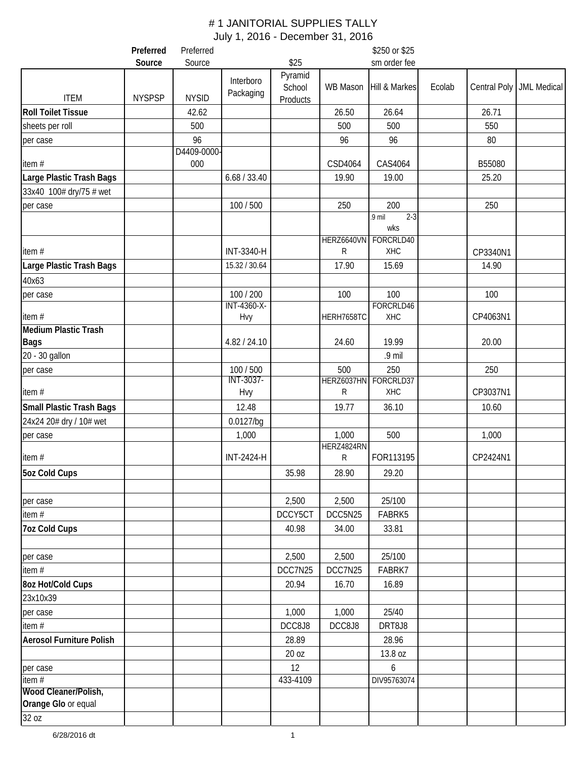|                                 | Preferred     | Preferred        |                          |                   |                   | \$250 or \$25              |        |          |                            |
|---------------------------------|---------------|------------------|--------------------------|-------------------|-------------------|----------------------------|--------|----------|----------------------------|
|                                 | Source        | Source           |                          | \$25              |                   | sm order fee               |        |          |                            |
| <b>ITEM</b>                     | <b>NYSPSP</b> | <b>NYSID</b>     | Interboro<br>Packaging   | Pyramid<br>School | WB Mason          | Hill & Markes              | Ecolab |          | Central Poly   JML Medical |
| <b>Roll Toilet Tissue</b>       |               |                  |                          | <b>Products</b>   |                   |                            |        |          |                            |
|                                 |               | 42.62            |                          |                   | 26.50             | 26.64                      |        | 26.71    |                            |
| sheets per roll                 |               | 500              |                          |                   | 500               | 500                        |        | 550      |                            |
| per case                        |               | 96<br>D4409-0000 |                          |                   | 96                | 96                         |        | 80       |                            |
| item#                           |               | 000              |                          |                   | CSD4064           | CAS4064                    |        | B55080   |                            |
| Large Plastic Trash Bags        |               |                  | 6.68 / 33.40             |                   | 19.90             | 19.00                      |        | 25.20    |                            |
| 33x40 100# dry/75 # wet         |               |                  |                          |                   |                   |                            |        |          |                            |
| per case                        |               |                  | 100 / 500                |                   | 250               | 200                        |        | 250      |                            |
|                                 |               |                  |                          |                   |                   | $2 - 3$<br>$.9$ mil<br>wks |        |          |                            |
|                                 |               |                  |                          |                   |                   | HERZ6640VN FORCRLD40       |        |          |                            |
| item#                           |               |                  | INT-3340-H               |                   | R                 | <b>XHC</b>                 |        | CP3340N1 |                            |
| Large Plastic Trash Bags        |               |                  | 15.32 / 30.64            |                   | 17.90             | 15.69                      |        | 14.90    |                            |
| 40x63                           |               |                  |                          |                   |                   |                            |        |          |                            |
| per case                        |               |                  | 100 / 200<br>INT-4360-X- |                   | 100               | 100<br>FORCRLD46           |        | 100      |                            |
| item#                           |               |                  | Hvy                      |                   | HERH7658TC        | XHC                        |        | CP4063N1 |                            |
| <b>Medium Plastic Trash</b>     |               |                  |                          |                   |                   |                            |        |          |                            |
| <b>Bags</b>                     |               |                  | 4.82 / 24.10             |                   | 24.60             | 19.99                      |        | 20.00    |                            |
| 20 - 30 gallon                  |               |                  |                          |                   |                   | .9 mil                     |        |          |                            |
| per case                        |               |                  | 100 / 500<br>INT-3037-   |                   | 500<br>HERZ6037HN | 250<br>FORCRLD37           |        | 250      |                            |
| item#                           |               |                  | Hvy                      |                   | $\mathsf{R}$      | <b>XHC</b>                 |        | CP3037N1 |                            |
| <b>Small Plastic Trash Bags</b> |               |                  | 12.48                    |                   | 19.77             | 36.10                      |        | 10.60    |                            |
| 24x24 20# dry / 10# wet         |               |                  | $0.0127$ /bg             |                   |                   |                            |        |          |                            |
| per case                        |               |                  | 1,000                    |                   | 1,000             | 500                        |        | 1,000    |                            |
|                                 |               |                  |                          |                   | HERZ4824RN        |                            |        |          |                            |
| item#                           |               |                  | <b>INT-2424-H</b>        |                   | R                 | FOR113195                  |        | CP2424N1 |                            |
| 5oz Cold Cups                   |               |                  |                          | 35.98             | 28.90             | 29.20                      |        |          |                            |
| per case                        |               |                  |                          | 2,500             | 2,500             | 25/100                     |        |          |                            |
| item $#$                        |               |                  |                          | DCCY5CT           | DCC5N25           | FABRK5                     |        |          |                            |
| <b>7oz Cold Cups</b>            |               |                  |                          | 40.98             | 34.00             | 33.81                      |        |          |                            |
|                                 |               |                  |                          |                   |                   |                            |        |          |                            |
| per case                        |               |                  |                          | 2,500             | 2,500             | 25/100                     |        |          |                            |
| item $#$                        |               |                  |                          | DCC7N25           | DCC7N25           | FABRK7                     |        |          |                            |
| 8oz Hot/Cold Cups               |               |                  |                          | 20.94             | 16.70             | 16.89                      |        |          |                            |
| 23x10x39                        |               |                  |                          |                   |                   |                            |        |          |                            |
| per case                        |               |                  |                          | 1,000             | 1,000             | 25/40                      |        |          |                            |
| item $#$                        |               |                  |                          | DCC8J8            | DCC8J8            | DRT8J8                     |        |          |                            |
| <b>Aerosol Furniture Polish</b> |               |                  |                          | 28.89             |                   | 28.96                      |        |          |                            |
|                                 |               |                  |                          | 20 oz             |                   | 13.8 oz                    |        |          |                            |
| per case                        |               |                  |                          | 12                |                   | 6                          |        |          |                            |
| item $#$                        |               |                  |                          | 433-4109          |                   | DIV95763074                |        |          |                            |
| Wood Cleaner/Polish,            |               |                  |                          |                   |                   |                            |        |          |                            |
| Orange Glo or equal             |               |                  |                          |                   |                   |                            |        |          |                            |
| 32 oz                           |               |                  |                          |                   |                   |                            |        |          |                            |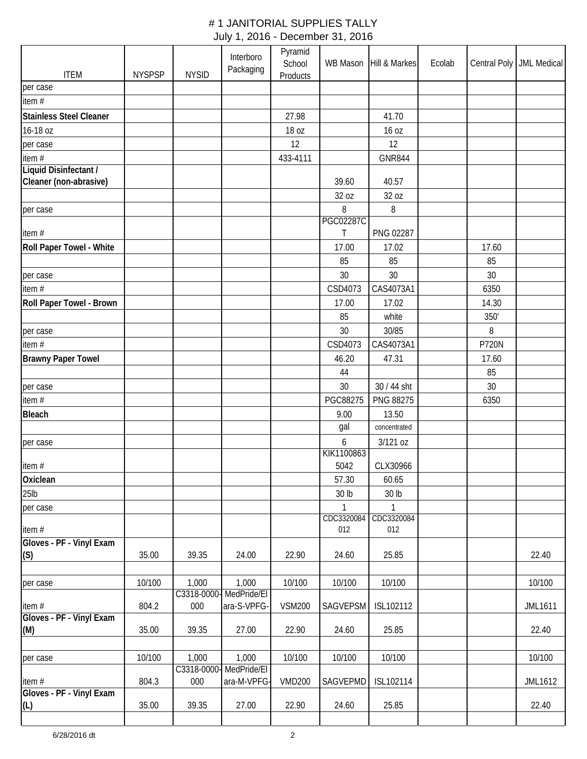| <b>ITEM</b>                       | <b>NYSPSP</b> | <b>NYSID</b>       | Interboro<br>Packaging     | Pyramid<br>School<br>Products | WB Mason          | Hill & Markes     | Ecolab |              | Central Poly   JML Medical |
|-----------------------------------|---------------|--------------------|----------------------------|-------------------------------|-------------------|-------------------|--------|--------------|----------------------------|
| per case                          |               |                    |                            |                               |                   |                   |        |              |                            |
| item#                             |               |                    |                            |                               |                   |                   |        |              |                            |
| <b>Stainless Steel Cleaner</b>    |               |                    |                            | 27.98                         |                   | 41.70             |        |              |                            |
| 16-18 oz                          |               |                    |                            | 18 oz                         |                   | 16 oz             |        |              |                            |
| per case                          |               |                    |                            | 12                            |                   | 12                |        |              |                            |
| item #                            |               |                    |                            | 433-4111                      |                   | <b>GNR844</b>     |        |              |                            |
| Liquid Disinfectant /             |               |                    |                            |                               |                   |                   |        |              |                            |
| Cleaner (non-abrasive)            |               |                    |                            |                               | 39.60             | 40.57             |        |              |                            |
|                                   |               |                    |                            |                               | 32 oz             | 32 oz             |        |              |                            |
| per case                          |               |                    |                            |                               | 8                 | 8                 |        |              |                            |
|                                   |               |                    |                            |                               | <b>PGC02287C</b>  |                   |        |              |                            |
| item#                             |               |                    |                            |                               | Τ                 | PNG 02287         |        |              |                            |
| Roll Paper Towel - White          |               |                    |                            |                               | 17.00             | 17.02             |        | 17.60        |                            |
|                                   |               |                    |                            |                               | 85                | 85                |        | 85           |                            |
| per case                          |               |                    |                            |                               | 30                | 30                |        | 30           |                            |
| item#                             |               |                    |                            |                               | CSD4073           | CAS4073A1         |        | 6350         |                            |
| Roll Paper Towel - Brown          |               |                    |                            |                               | 17.00             | 17.02             |        | 14.30        |                            |
|                                   |               |                    |                            |                               | 85                | white             |        | 350'         |                            |
| per case                          |               |                    |                            |                               | 30                | 30/85             |        | 8            |                            |
| item $#$                          |               |                    |                            |                               | CSD4073           | CAS4073A1         |        | <b>P720N</b> |                            |
| <b>Brawny Paper Towel</b>         |               |                    |                            |                               | 46.20             | 47.31             |        | 17.60        |                            |
|                                   |               |                    |                            |                               | 44                |                   |        | 85           |                            |
| per case                          |               |                    |                            |                               | 30                | 30 / 44 sht       |        | 30           |                            |
| item #                            |               |                    |                            |                               | PGC88275          | PNG 88275         |        | 6350         |                            |
| <b>Bleach</b>                     |               |                    |                            |                               | 9.00              | 13.50             |        |              |                            |
|                                   |               |                    |                            |                               | gal               | concentrated      |        |              |                            |
| per case                          |               |                    |                            |                               | 6                 | 3/121 oz          |        |              |                            |
|                                   |               |                    |                            |                               | KIK1100863        |                   |        |              |                            |
| item $#$                          |               |                    |                            |                               | 5042              | CLX30966          |        |              |                            |
| Oxiclean                          |               |                    |                            |                               | 57.30             | 60.65             |        |              |                            |
| $25$ lb                           |               |                    |                            |                               | 30 lb             | 30 lb             |        |              |                            |
| per case                          |               |                    |                            |                               | 1                 | $\mathbf{1}$      |        |              |                            |
|                                   |               |                    |                            |                               | CDC3320084<br>012 | CDC3320084<br>012 |        |              |                            |
| item#<br>Gloves - PF - Vinyl Exam |               |                    |                            |                               |                   |                   |        |              |                            |
| (S)                               | 35.00         | 39.35              | 24.00                      | 22.90                         | 24.60             | 25.85             |        |              | 22.40                      |
|                                   |               |                    |                            |                               |                   |                   |        |              |                            |
| per case                          | 10/100        | 1,000              | 1,000                      | 10/100                        | 10/100            | 10/100            |        |              | 10/100                     |
|                                   |               | C3318-0000         | MedPride/El                |                               |                   |                   |        |              |                            |
| item#                             | 804.2         | 000                | ara-S-VPFG-                | <b>VSM200</b>                 | SAGVEPSM          | ISL102112         |        |              | <b>JML1611</b>             |
| Gloves - PF - Vinyl Exam          |               |                    |                            |                               |                   |                   |        |              |                            |
| (M)                               | 35.00         | 39.35              | 27.00                      | 22.90                         | 24.60             | 25.85             |        |              | 22.40                      |
|                                   |               |                    |                            |                               |                   |                   |        |              |                            |
| per case                          | 10/100        | 1,000              | 1,000                      | 10/100                        | 10/100            | 10/100            |        |              | 10/100                     |
| item #                            | 804.3         | C3318-0000-<br>000 | MedPride/EI<br>ara-M-VPFG- | <b>VMD200</b>                 | SAGVEPMD          | ISL102114         |        |              | <b>JML1612</b>             |
| Gloves - PF - Vinyl Exam          |               |                    |                            |                               |                   |                   |        |              |                            |
| (L)                               | 35.00         | 39.35              | 27.00                      | 22.90                         | 24.60             | 25.85             |        |              | 22.40                      |
|                                   |               |                    |                            |                               |                   |                   |        |              |                            |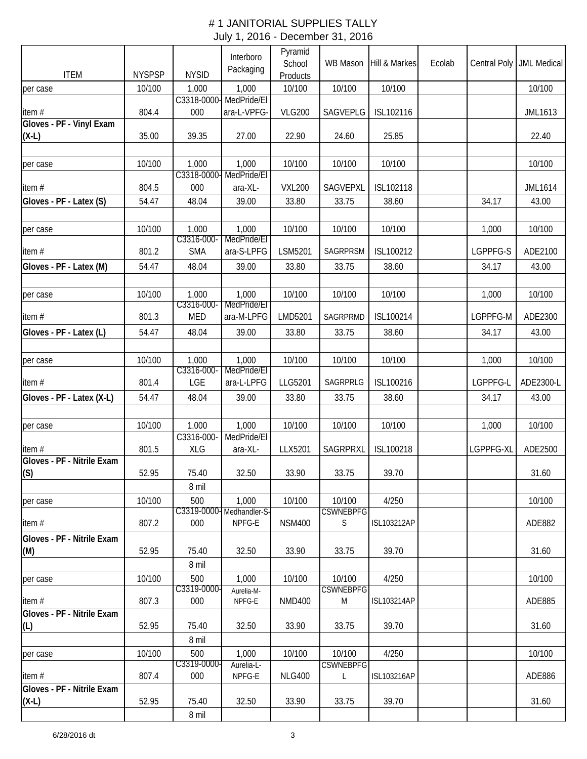|                                     |               |                     | Interboro<br>Packaging           | Pyramid<br>School | WB Mason                   | Hill & Markes      | Ecolab | Central Poly | <b>JML Medical</b> |
|-------------------------------------|---------------|---------------------|----------------------------------|-------------------|----------------------------|--------------------|--------|--------------|--------------------|
| <b>ITEM</b>                         | <b>NYSPSP</b> | <b>NYSID</b>        |                                  | Products          |                            |                    |        |              |                    |
| per case                            | 10/100        | 1,000               | 1,000<br>C3318-0000- MedPride/EI | 10/100            | 10/100                     | 10/100             |        |              | 10/100             |
| item#<br>Gloves - PF - Vinyl Exam   | 804.4         | 000                 | ara-L-VPFG-                      | <b>VLG200</b>     | SAGVEPLG                   | ISL102116          |        |              | JML1613            |
| $(X-L)$                             | 35.00         | 39.35               | 27.00                            | 22.90             | 24.60                      | 25.85              |        |              | 22.40              |
| per case                            | 10/100        | 1,000               | 1,000                            | 10/100            | 10/100                     | 10/100             |        |              | 10/100             |
|                                     |               |                     | C3318-0000-MedPride/EI           |                   |                            |                    |        |              |                    |
| item#                               | 804.5         | 000                 | ara-XL-                          | <b>VXL200</b>     | SAGVEPXL                   | ISL102118          |        |              | <b>JML1614</b>     |
| Gloves - PF - Latex (S)             | 54.47         | 48.04               | 39.00                            | 33.80             | 33.75                      | 38.60              |        | 34.17        | 43.00              |
| per case                            | 10/100        | 1,000<br>C3316-000- | 1,000<br>MedPride/El             | 10/100            | 10/100                     | 10/100             |        | 1,000        | 10/100             |
| item#                               | 801.2         | <b>SMA</b>          | ara-S-LPFG                       | LSM5201           | SAGRPRSM                   | ISL100212          |        | LGPPFG-S     | ADE2100            |
| Gloves - PF - Latex (M)             | 54.47         | 48.04               | 39.00                            | 33.80             | 33.75                      | 38.60              |        | 34.17        | 43.00              |
| per case                            | 10/100        | 1,000<br>C3316-000- | 1,000<br>MedPride/EI             | 10/100            | 10/100                     | 10/100             |        | 1,000        | 10/100             |
| item#                               | 801.3         | <b>MED</b>          | ara-M-LPFG                       | LMD5201           | SAGRPRMD                   | ISL100214          |        | LGPPFG-M     | ADE2300            |
| Gloves - PF - Latex (L)             | 54.47         | 48.04               | 39.00                            | 33.80             | 33.75                      | 38.60              |        | 34.17        | 43.00              |
|                                     |               |                     |                                  |                   |                            |                    |        |              |                    |
| per case                            | 10/100        | 1,000<br>C3316-000- | 1,000<br>MedPride/El             | 10/100            | 10/100                     | 10/100             |        | 1,000        | 10/100             |
| item#                               | 801.4         | LGE                 | ara-L-LPFG                       | LLG5201           | SAGRPRLG                   | ISL100216          |        | LGPPFG-L     | ADE2300-L          |
| Gloves - PF - Latex (X-L)           | 54.47         | 48.04               | 39.00                            | 33.80             | 33.75                      | 38.60              |        | 34.17        | 43.00              |
|                                     |               |                     |                                  |                   |                            |                    |        |              |                    |
| per case                            | 10/100        | 1,000               | 1,000                            | 10/100            | 10/100                     | 10/100             |        | 1,000        | 10/100             |
|                                     |               | C3316-000-          | MedPride/EI                      |                   |                            |                    |        |              |                    |
| item#<br>Gloves - PF - Nitrile Exam | 801.5         | XLG                 | ara-XL-                          | LLX5201           | SAGRPRXL                   | ISL100218          |        | LGPPFG-XL    | ADE2500            |
| (S)                                 | 52.95         | 75.40<br>8 mil      | 32.50                            | 33.90             | 33.75                      | 39.70              |        |              | 31.60              |
| per case                            | 10/100        | 500                 | 1,000                            | 10/100            | 10/100                     | 4/250              |        |              | 10/100             |
|                                     |               |                     | C3319-0000-Medhandler-S-         |                   | <b>CSWNEBPFG</b>           |                    |        |              |                    |
| item $#$                            | 807.2         | 000                 | NPFG-E                           | <b>NSM400</b>     | S                          | <b>ISL103212AP</b> |        |              | ADE882             |
| Gloves - PF - Nitrile Exam<br>(M)   | 52.95         | 75.40               | 32.50                            | 33.90             | 33.75                      | 39.70              |        |              | 31.60              |
|                                     |               | 8 mil               |                                  |                   |                            |                    |        |              |                    |
| per case                            | 10/100        | 500                 | 1,000                            | 10/100            | 10/100                     | 4/250              |        |              | 10/100             |
| item#                               | 807.3         | C3319-0000-<br>000  | Aurelia-M-<br>NPFG-E             | <b>NMD400</b>     | <b>CSWNEBPFG</b><br>M      | <b>ISL103214AP</b> |        |              | ADE885             |
| Gloves - PF - Nitrile Exam          |               |                     |                                  |                   |                            |                    |        |              |                    |
| (L)                                 | 52.95         | 75.40               | 32.50                            | 33.90             | 33.75                      | 39.70              |        |              | 31.60              |
|                                     |               | 8 mil               |                                  |                   |                            |                    |        |              |                    |
| per case                            | 10/100        | 500<br>C3319-0000   | 1,000<br>Aurelia-L-              | 10/100            | 10/100<br><b>CSWNEBPFG</b> | 4/250              |        |              | 10/100             |
| item#                               | 807.4         | 000                 | NPFG-E                           | <b>NLG400</b>     | $\mathsf L$                | ISL103216AP        |        |              | ADE886             |
| Gloves - PF - Nitrile Exam          |               |                     |                                  |                   |                            |                    |        |              |                    |
| $(X-L)$                             | 52.95         | 75.40               | 32.50                            | 33.90             | 33.75                      | 39.70              |        |              | 31.60              |
|                                     |               | 8 mil               |                                  |                   |                            |                    |        |              |                    |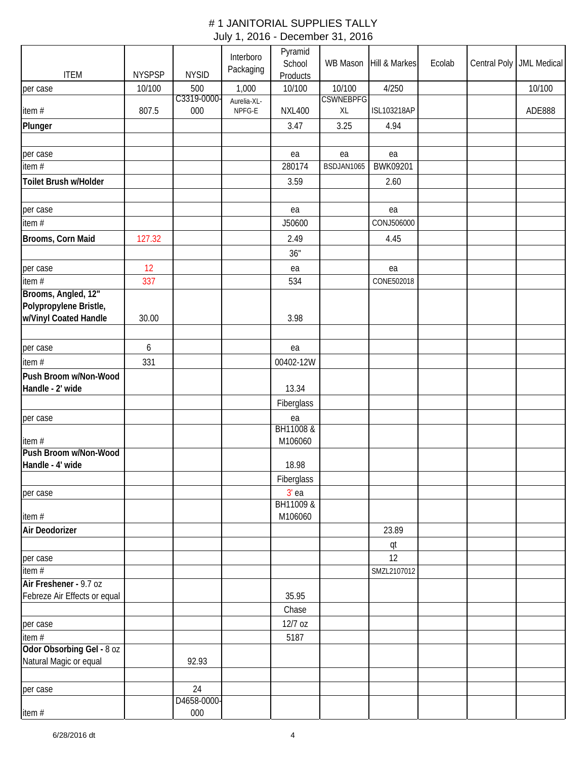|                              |               |                    | Interboro<br>Packaging | Pyramid<br>School    | WB Mason                   | Hill & Markes    | Ecolab | Central Poly | <b>JML Medical</b> |
|------------------------------|---------------|--------------------|------------------------|----------------------|----------------------------|------------------|--------|--------------|--------------------|
| <b>ITEM</b>                  | <b>NYSPSP</b> | <b>NYSID</b>       |                        | Products             |                            |                  |        |              |                    |
| per case                     | 10/100        | 500<br>C3319-0000- | 1,000                  | 10/100               | 10/100<br><b>CSWNEBPFG</b> | 4/250            |        |              | 10/100             |
| item#                        | 807.5         | 000                | Aurelia-XL-<br>NPFG-E  | <b>NXL400</b>        | XL                         | ISL103218AP      |        |              | ADE888             |
| Plunger                      |               |                    |                        | 3.47                 | 3.25                       | 4.94             |        |              |                    |
|                              |               |                    |                        |                      |                            |                  |        |              |                    |
| per case                     |               |                    |                        | ea                   | ea                         | ea               |        |              |                    |
| item#                        |               |                    |                        | 280174               | BSDJAN1065                 | BWK09201         |        |              |                    |
| Toilet Brush w/Holder        |               |                    |                        | 3.59                 |                            | 2.60             |        |              |                    |
|                              |               |                    |                        |                      |                            |                  |        |              |                    |
| per case                     |               |                    |                        | ea                   |                            | ea               |        |              |                    |
| item #                       |               |                    |                        | J50600               |                            | CONJ506000       |        |              |                    |
| Brooms, Corn Maid            | 127.32        |                    |                        | 2.49                 |                            | 4.45             |        |              |                    |
|                              |               |                    |                        | 36"                  |                            |                  |        |              |                    |
|                              | 12            |                    |                        |                      |                            |                  |        |              |                    |
| per case<br>item#            | 337           |                    |                        | ea<br>534            |                            | ea<br>CONE502018 |        |              |                    |
| Brooms, Angled, 12"          |               |                    |                        |                      |                            |                  |        |              |                    |
| Polypropylene Bristle,       |               |                    |                        |                      |                            |                  |        |              |                    |
| w/Vinyl Coated Handle        | 30.00         |                    |                        | 3.98                 |                            |                  |        |              |                    |
|                              |               |                    |                        |                      |                            |                  |        |              |                    |
| per case                     | 6             |                    |                        | ea                   |                            |                  |        |              |                    |
| item#                        | 331           |                    |                        | 00402-12W            |                            |                  |        |              |                    |
| Push Broom w/Non-Wood        |               |                    |                        |                      |                            |                  |        |              |                    |
| Handle - 2' wide             |               |                    |                        | 13.34                |                            |                  |        |              |                    |
|                              |               |                    |                        | Fiberglass           |                            |                  |        |              |                    |
| per case                     |               |                    |                        | ea                   |                            |                  |        |              |                    |
|                              |               |                    |                        | BH11008 &            |                            |                  |        |              |                    |
| item#                        |               |                    |                        | M106060              |                            |                  |        |              |                    |
| Push Broom w/Non-Wood        |               |                    |                        |                      |                            |                  |        |              |                    |
| Handle - 4' wide             |               |                    |                        | 18.98                |                            |                  |        |              |                    |
|                              |               |                    |                        | Fiberglass           |                            |                  |        |              |                    |
| per case                     |               |                    |                        | $3'$ ea<br>BH11009 & |                            |                  |        |              |                    |
| item#                        |               |                    |                        | M106060              |                            |                  |        |              |                    |
| Air Deodorizer               |               |                    |                        |                      |                            | 23.89            |        |              |                    |
|                              |               |                    |                        |                      |                            | qt               |        |              |                    |
| per case                     |               |                    |                        |                      |                            | 12               |        |              |                    |
| item #                       |               |                    |                        |                      |                            | SMZL2107012      |        |              |                    |
| Air Freshener - 9.7 oz       |               |                    |                        |                      |                            |                  |        |              |                    |
| Febreze Air Effects or equal |               |                    |                        | 35.95                |                            |                  |        |              |                    |
|                              |               |                    |                        | Chase                |                            |                  |        |              |                    |
| per case                     |               |                    |                        | 12/7 oz              |                            |                  |        |              |                    |
| item #                       |               |                    |                        | 5187                 |                            |                  |        |              |                    |
| Odor Obsorbing Gel - 8 oz    |               |                    |                        |                      |                            |                  |        |              |                    |
| Natural Magic or equal       |               | 92.93              |                        |                      |                            |                  |        |              |                    |
|                              |               |                    |                        |                      |                            |                  |        |              |                    |
| per case                     |               | 24                 |                        |                      |                            |                  |        |              |                    |
|                              |               | D4658-0000-        |                        |                      |                            |                  |        |              |                    |
| item#                        |               | 000                |                        |                      |                            |                  |        |              |                    |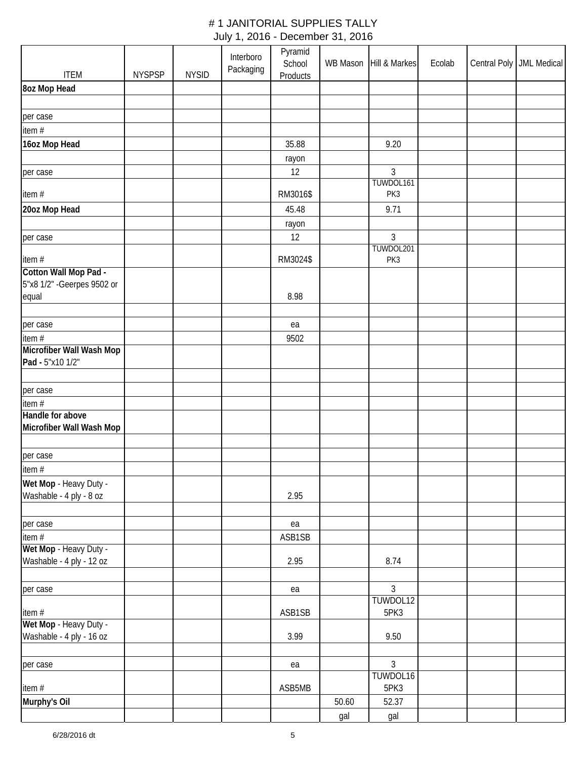|                             |               |              | Interboro | Pyramid            |       |                            |        |                            |
|-----------------------------|---------------|--------------|-----------|--------------------|-------|----------------------------|--------|----------------------------|
| <b>ITEM</b>                 | <b>NYSPSP</b> | <b>NYSID</b> | Packaging | School<br>Products |       | WB Mason Hill & Markes     | Ecolab | Central Poly   JML Medical |
| 8oz Mop Head                |               |              |           |                    |       |                            |        |                            |
|                             |               |              |           |                    |       |                            |        |                            |
| per case                    |               |              |           |                    |       |                            |        |                            |
| item #                      |               |              |           |                    |       |                            |        |                            |
| 16oz Mop Head               |               |              |           | 35.88              |       | 9.20                       |        |                            |
|                             |               |              |           | rayon              |       |                            |        |                            |
| per case                    |               |              |           | 12                 |       | $\mathfrak{Z}$             |        |                            |
|                             |               |              |           |                    |       | TUWDOL161                  |        |                            |
| item#                       |               |              |           | RM3016\$           |       | PK3                        |        |                            |
| 20oz Mop Head               |               |              |           | 45.48              |       | 9.71                       |        |                            |
|                             |               |              |           | rayon              |       |                            |        |                            |
| per case                    |               |              |           | 12                 |       | 3<br>TUWDOL201             |        |                            |
| item#                       |               |              |           | RM3024\$           |       | PK3                        |        |                            |
| Cotton Wall Mop Pad -       |               |              |           |                    |       |                            |        |                            |
| 5"x8 1/2" - Geerpes 9502 or |               |              |           |                    |       |                            |        |                            |
| equal                       |               |              |           | 8.98               |       |                            |        |                            |
|                             |               |              |           |                    |       |                            |        |                            |
| per case<br>item#           |               |              |           | ea<br>9502         |       |                            |        |                            |
| Microfiber Wall Wash Mop    |               |              |           |                    |       |                            |        |                            |
| Pad - 5"x10 1/2"            |               |              |           |                    |       |                            |        |                            |
|                             |               |              |           |                    |       |                            |        |                            |
| per case                    |               |              |           |                    |       |                            |        |                            |
| item#                       |               |              |           |                    |       |                            |        |                            |
| Handle for above            |               |              |           |                    |       |                            |        |                            |
| Microfiber Wall Wash Mop    |               |              |           |                    |       |                            |        |                            |
| per case                    |               |              |           |                    |       |                            |        |                            |
| item #                      |               |              |           |                    |       |                            |        |                            |
| Wet Mop - Heavy Duty -      |               |              |           |                    |       |                            |        |                            |
| Washable - 4 ply - 8 oz     |               |              |           | 2.95               |       |                            |        |                            |
|                             |               |              |           |                    |       |                            |        |                            |
| per case                    |               |              |           | ea                 |       |                            |        |                            |
| item #                      |               |              |           | ASB1SB             |       |                            |        |                            |
| Wet Mop - Heavy Duty -      |               |              |           |                    |       |                            |        |                            |
| Washable - 4 ply - 12 oz    |               |              |           | 2.95               |       | 8.74                       |        |                            |
|                             |               |              |           |                    |       | $\mathfrak{Z}$             |        |                            |
| per case                    |               |              |           | ea                 |       | TUWDOL12                   |        |                            |
| item#                       |               |              |           | ASB1SB             |       | 5PK3                       |        |                            |
| Wet Mop - Heavy Duty -      |               |              |           |                    |       |                            |        |                            |
| Washable - 4 ply - 16 oz    |               |              |           | 3.99               |       | 9.50                       |        |                            |
|                             |               |              |           |                    |       |                            |        |                            |
| per case                    |               |              |           | ea                 |       | $\overline{3}$<br>TUWDOL16 |        |                            |
| item#                       |               |              |           | ASB5MB             |       | 5PK3                       |        |                            |
| Murphy's Oil                |               |              |           |                    | 50.60 | 52.37                      |        |                            |
|                             |               |              |           |                    | gal   | gal                        |        |                            |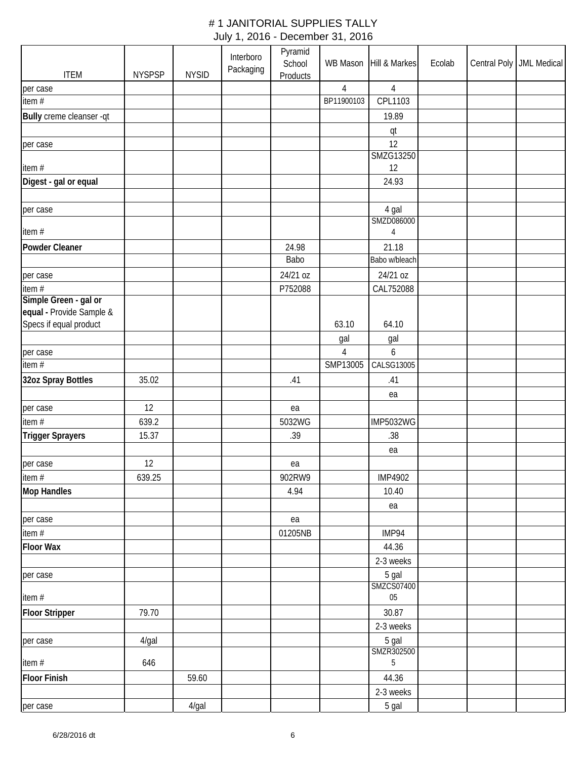| <b>ITEM</b>              | <b>NYSPSP</b> | <b>NYSID</b> | Interboro<br>Packaging | Pyramid<br>School<br>Products |                        | WB Mason Hill & Markes       | Ecolab | Central Poly   JML Medical |
|--------------------------|---------------|--------------|------------------------|-------------------------------|------------------------|------------------------------|--------|----------------------------|
| per case                 |               |              |                        |                               | $\overline{4}$         | $\overline{4}$               |        |                            |
| item #                   |               |              |                        |                               | BP11900103             | CPL1103                      |        |                            |
| Bully creme cleanser -qt |               |              |                        |                               |                        | 19.89                        |        |                            |
|                          |               |              |                        |                               |                        | qt                           |        |                            |
| per case                 |               |              |                        |                               |                        | 12                           |        |                            |
| item#                    |               |              |                        |                               |                        | <b>SMZG13250</b><br>12       |        |                            |
| Digest - gal or equal    |               |              |                        |                               |                        | 24.93                        |        |                            |
|                          |               |              |                        |                               |                        |                              |        |                            |
| per case                 |               |              |                        |                               |                        | 4 gal                        |        |                            |
| item #                   |               |              |                        |                               |                        | SMZD086000<br>$\overline{4}$ |        |                            |
| Powder Cleaner           |               |              |                        | 24.98                         |                        | 21.18                        |        |                            |
|                          |               |              |                        | Babo                          |                        | Babo w/bleach                |        |                            |
| per case                 |               |              |                        | 24/21 oz                      |                        | 24/21 oz                     |        |                            |
| item #                   |               |              |                        | P752088                       |                        | CAL752088                    |        |                            |
| Simple Green - gal or    |               |              |                        |                               |                        |                              |        |                            |
| equal - Provide Sample & |               |              |                        |                               |                        |                              |        |                            |
| Specs if equal product   |               |              |                        |                               | 63.10                  | 64.10                        |        |                            |
|                          |               |              |                        |                               | gal                    | gal                          |        |                            |
| per case<br>item#        |               |              |                        |                               | $\sqrt{4}$<br>SMP13005 | 6<br>CALSG13005              |        |                            |
|                          |               |              |                        |                               |                        |                              |        |                            |
| 32oz Spray Bottles       | 35.02         |              |                        | .41                           |                        | .41                          |        |                            |
|                          |               |              |                        |                               |                        | ea                           |        |                            |
| per case<br>item #       | 12<br>639.2   |              |                        | ea<br>5032WG                  |                        | <b>IMP5032WG</b>             |        |                            |
|                          |               |              |                        |                               |                        |                              |        |                            |
| <b>Trigger Sprayers</b>  | 15.37         |              |                        | .39                           |                        | .38                          |        |                            |
|                          | 12            |              |                        |                               |                        | ea                           |        |                            |
| per case<br>item#        | 639.25        |              |                        | ea<br>902RW9                  |                        | <b>IMP4902</b>               |        |                            |
| <b>Mop Handles</b>       |               |              |                        | 4.94                          |                        | 10.40                        |        |                            |
|                          |               |              |                        |                               |                        | ea                           |        |                            |
| per case                 |               |              |                        | ea                            |                        |                              |        |                            |
| item #                   |               |              |                        | 01205NB                       |                        | IMP94                        |        |                            |
| <b>Floor Wax</b>         |               |              |                        |                               |                        | 44.36                        |        |                            |
|                          |               |              |                        |                               |                        | 2-3 weeks                    |        |                            |
| per case                 |               |              |                        |                               |                        | 5 gal                        |        |                            |
|                          |               |              |                        |                               |                        | SMZCS07400                   |        |                            |
| item #                   |               |              |                        |                               |                        | 05                           |        |                            |
| <b>Floor Stripper</b>    | 79.70         |              |                        |                               |                        | 30.87                        |        |                            |
|                          |               |              |                        |                               |                        | 2-3 weeks                    |        |                            |
| per case                 | 4/gal         |              |                        |                               |                        | 5 gal<br>SMZR302500          |        |                            |
| item #                   | 646           |              |                        |                               |                        | 5                            |        |                            |
| <b>Floor Finish</b>      |               | 59.60        |                        |                               |                        | 44.36                        |        |                            |
|                          |               |              |                        |                               |                        | 2-3 weeks                    |        |                            |
| per case                 |               | 4/gal        |                        |                               |                        | 5 gal                        |        |                            |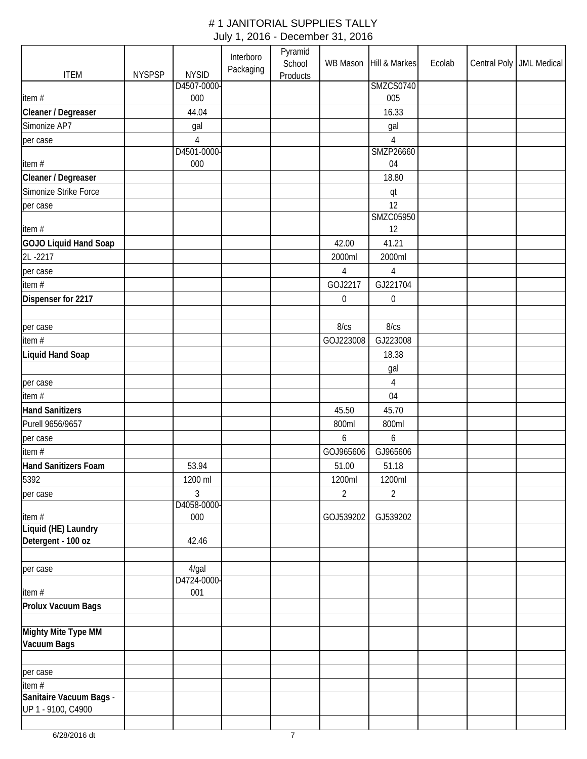|                                               |               |                   | Interboro | Pyramid<br>School |                  | WB Mason Hill & Markes | Ecolab | Central Poly   JML Medical |
|-----------------------------------------------|---------------|-------------------|-----------|-------------------|------------------|------------------------|--------|----------------------------|
| <b>ITEM</b>                                   | <b>NYSPSP</b> | <b>NYSID</b>      | Packaging | Products          |                  |                        |        |                            |
|                                               |               | D4507-0000-       |           |                   |                  | <b>SMZCS0740</b>       |        |                            |
| item#                                         |               | 000               |           |                   |                  | 005                    |        |                            |
| Cleaner / Degreaser                           |               | 44.04             |           |                   |                  | 16.33                  |        |                            |
| Simonize AP7                                  |               | gal               |           |                   |                  | gal                    |        |                            |
| per case                                      |               | $\overline{4}$    |           |                   |                  | $\sqrt{4}$             |        |                            |
| item#                                         |               | D4501-0000<br>000 |           |                   |                  | SMZP26660<br>04        |        |                            |
| Cleaner / Degreaser                           |               |                   |           |                   |                  | 18.80                  |        |                            |
| Simonize Strike Force                         |               |                   |           |                   |                  |                        |        |                            |
|                                               |               |                   |           |                   |                  | qt<br>12               |        |                            |
| per case                                      |               |                   |           |                   |                  | <b>SMZC05950</b>       |        |                            |
| item#                                         |               |                   |           |                   |                  | 12                     |        |                            |
| <b>GOJO Liquid Hand Soap</b>                  |               |                   |           |                   | 42.00            | 41.21                  |        |                            |
| 2L-2217                                       |               |                   |           |                   | 2000ml           | 2000ml                 |        |                            |
| per case                                      |               |                   |           |                   | $\overline{4}$   | $\overline{4}$         |        |                            |
| item #                                        |               |                   |           |                   | GOJ2217          | GJ221704               |        |                            |
| Dispenser for 2217                            |               |                   |           |                   | $\boldsymbol{0}$ | $\boldsymbol{0}$       |        |                            |
|                                               |               |                   |           |                   |                  |                        |        |                            |
| per case                                      |               |                   |           |                   | 8/cs             | 8/cs                   |        |                            |
| item $#$                                      |               |                   |           |                   | GOJ223008        | GJ223008               |        |                            |
| Liquid Hand Soap                              |               |                   |           |                   |                  | 18.38                  |        |                            |
|                                               |               |                   |           |                   |                  | gal                    |        |                            |
| per case                                      |               |                   |           |                   |                  | $\overline{4}$         |        |                            |
| item#                                         |               |                   |           |                   |                  | 04                     |        |                            |
| <b>Hand Sanitizers</b>                        |               |                   |           |                   | 45.50            | 45.70                  |        |                            |
| Purell 9656/9657                              |               |                   |           |                   | 800ml            | 800ml                  |        |                            |
| per case                                      |               |                   |           |                   | 6                | 6                      |        |                            |
| item#                                         |               |                   |           |                   | GOJ965606        | GJ965606               |        |                            |
| <b>Hand Sanitizers Foam</b>                   |               | 53.94             |           |                   | 51.00            | 51.18                  |        |                            |
| 5392                                          |               | 1200 ml           |           |                   | 1200ml           | 1200ml                 |        |                            |
| per case                                      |               | 3                 |           |                   | $\overline{2}$   | $\overline{2}$         |        |                            |
|                                               |               | D4058-0000-       |           |                   |                  |                        |        |                            |
| item#                                         |               | 000               |           |                   | GOJ539202        | GJ539202               |        |                            |
| Liquid (HE) Laundry<br>Detergent - 100 oz     |               |                   |           |                   |                  |                        |        |                            |
|                                               |               | 42.46             |           |                   |                  |                        |        |                            |
|                                               |               | $4$ /gal          |           |                   |                  |                        |        |                            |
| per case                                      |               | D4724-0000-       |           |                   |                  |                        |        |                            |
| item#                                         |               | 001               |           |                   |                  |                        |        |                            |
| Prolux Vacuum Bags                            |               |                   |           |                   |                  |                        |        |                            |
|                                               |               |                   |           |                   |                  |                        |        |                            |
| Mighty Mite Type MM                           |               |                   |           |                   |                  |                        |        |                            |
| Vacuum Bags                                   |               |                   |           |                   |                  |                        |        |                            |
|                                               |               |                   |           |                   |                  |                        |        |                            |
| per case                                      |               |                   |           |                   |                  |                        |        |                            |
| item #                                        |               |                   |           |                   |                  |                        |        |                            |
| Sanitaire Vacuum Bags -<br>UP 1 - 9100, C4900 |               |                   |           |                   |                  |                        |        |                            |
|                                               |               |                   |           |                   |                  |                        |        |                            |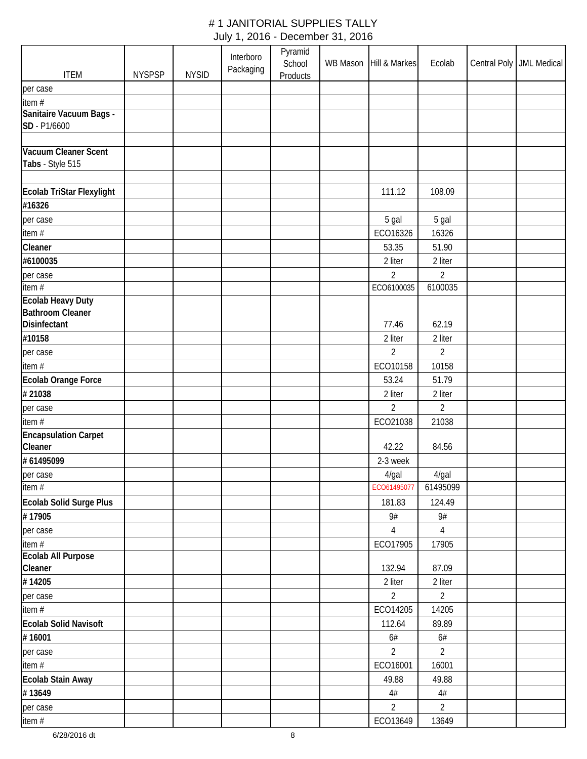|                                  |               |              | Interboro<br>Packaging | Pyramid<br>School | WB Mason | Hill & Markes  | Ecolab         | Central Poly   JML Medical |
|----------------------------------|---------------|--------------|------------------------|-------------------|----------|----------------|----------------|----------------------------|
| <b>ITEM</b>                      | <b>NYSPSP</b> | <b>NYSID</b> |                        | <b>Products</b>   |          |                |                |                            |
| per case                         |               |              |                        |                   |          |                |                |                            |
| item#<br>Sanitaire Vacuum Bags - |               |              |                        |                   |          |                |                |                            |
| SD - P1/6600                     |               |              |                        |                   |          |                |                |                            |
|                                  |               |              |                        |                   |          |                |                |                            |
| Vacuum Cleaner Scent             |               |              |                        |                   |          |                |                |                            |
| Tabs - Style 515                 |               |              |                        |                   |          |                |                |                            |
| Ecolab TriStar Flexylight        |               |              |                        |                   |          | 111.12         | 108.09         |                            |
| #16326                           |               |              |                        |                   |          |                |                |                            |
| per case                         |               |              |                        |                   |          | 5 gal          | 5 gal          |                            |
| item #                           |               |              |                        |                   |          | ECO16326       | 16326          |                            |
| Cleaner                          |               |              |                        |                   |          | 53.35          | 51.90          |                            |
| #6100035                         |               |              |                        |                   |          | 2 liter        | 2 liter        |                            |
| per case                         |               |              |                        |                   |          | $\overline{2}$ | $\overline{2}$ |                            |
| item#                            |               |              |                        |                   |          | ECO6100035     | 6100035        |                            |
| <b>Ecolab Heavy Duty</b>         |               |              |                        |                   |          |                |                |                            |
| <b>Bathroom Cleaner</b>          |               |              |                        |                   |          |                |                |                            |
| Disinfectant                     |               |              |                        |                   |          | 77.46          | 62.19          |                            |
| #10158                           |               |              |                        |                   |          | 2 liter        | 2 liter        |                            |
| per case                         |               |              |                        |                   |          | $\overline{2}$ | $\overline{2}$ |                            |
| item#                            |               |              |                        |                   |          | ECO10158       | 10158          |                            |
| <b>Ecolab Orange Force</b>       |               |              |                        |                   |          | 53.24          | 51.79          |                            |
| #21038                           |               |              |                        |                   |          | 2 liter        | 2 liter        |                            |
| per case                         |               |              |                        |                   |          | 2              | 2              |                            |
| item #                           |               |              |                        |                   |          | ECO21038       | 21038          |                            |
| <b>Encapsulation Carpet</b>      |               |              |                        |                   |          |                |                |                            |
| Cleaner                          |               |              |                        |                   |          | 42.22          | 84.56          |                            |
| #61495099                        |               |              |                        |                   |          | 2-3 week       |                |                            |
| per case                         |               |              |                        |                   |          | $4$ /gal       | 4/gal          |                            |
| item #                           |               |              |                        |                   |          | ECO61495077    | 61495099       |                            |
| Ecolab Solid Surge Plus          |               |              |                        |                   |          | 181.83         | 124.49         |                            |
| #17905                           |               |              |                        |                   |          | $9\#$          | $9#$           |                            |
| per case                         |               |              |                        |                   |          | 4              | 4              |                            |
| item $#$                         |               |              |                        |                   |          | ECO17905       | 17905          |                            |
| Ecolab All Purpose               |               |              |                        |                   |          |                |                |                            |
| Cleaner                          |               |              |                        |                   |          | 132.94         | 87.09          |                            |
| #14205                           |               |              |                        |                   |          | 2 liter        | 2 liter        |                            |
| per case                         |               |              |                        |                   |          | $\overline{2}$ | $\overline{2}$ |                            |
| item $#$                         |               |              |                        |                   |          | ECO14205       | 14205          |                            |
| <b>Ecolab Solid Navisoft</b>     |               |              |                        |                   |          | 112.64         | 89.89          |                            |
| #16001                           |               |              |                        |                   |          | $6\#$          | 6#             |                            |
| per case                         |               |              |                        |                   |          | $\overline{2}$ | $\overline{2}$ |                            |
| item #                           |               |              |                        |                   |          | ECO16001       | 16001          |                            |
| <b>Ecolab Stain Away</b>         |               |              |                        |                   |          | 49.88          | 49.88          |                            |
| #13649                           |               |              |                        |                   |          | $4\#$          | $4\#$          |                            |
| per case                         |               |              |                        |                   |          | $\overline{2}$ | $\overline{2}$ |                            |
| item #                           |               |              |                        |                   |          | ECO13649       | 13649          |                            |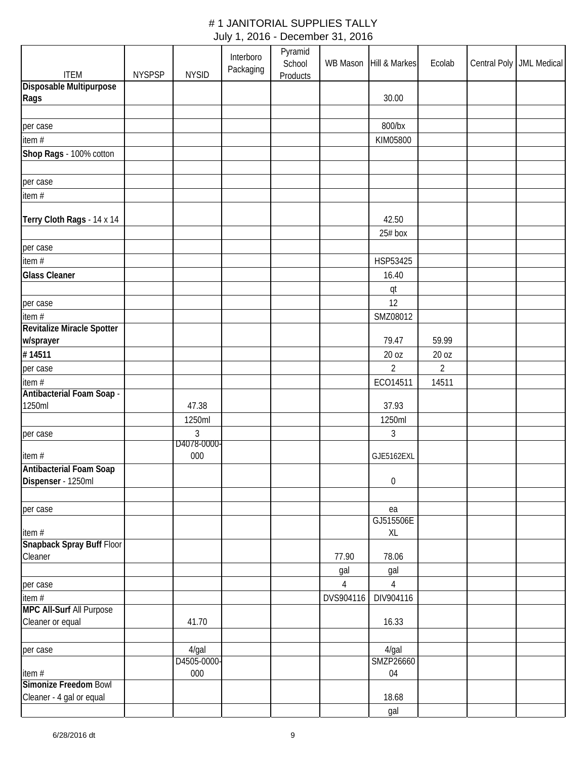| <b>ITEM</b>                         | <b>NYSPSP</b> | <b>NYSID</b> | Interboro<br>Packaging | Pyramid<br>School<br><b>Products</b> |            | WB Mason Hill & Markes | Ecolab         | Central Poly   JML Medical |
|-------------------------------------|---------------|--------------|------------------------|--------------------------------------|------------|------------------------|----------------|----------------------------|
| Disposable Multipurpose             |               |              |                        |                                      |            |                        |                |                            |
| Rags                                |               |              |                        |                                      |            | 30.00                  |                |                            |
|                                     |               |              |                        |                                      |            |                        |                |                            |
| per case                            |               |              |                        |                                      |            | 800/bx                 |                |                            |
| item#                               |               |              |                        |                                      |            | KIM05800               |                |                            |
| Shop Rags - 100% cotton             |               |              |                        |                                      |            |                        |                |                            |
|                                     |               |              |                        |                                      |            |                        |                |                            |
| per case                            |               |              |                        |                                      |            |                        |                |                            |
| item #                              |               |              |                        |                                      |            |                        |                |                            |
|                                     |               |              |                        |                                      |            |                        |                |                            |
| Terry Cloth Rags - 14 x 14          |               |              |                        |                                      |            | 42.50                  |                |                            |
|                                     |               |              |                        |                                      |            | 25# box                |                |                            |
| per case                            |               |              |                        |                                      |            |                        |                |                            |
| item $#$                            |               |              |                        |                                      |            | HSP53425               |                |                            |
| <b>Glass Cleaner</b>                |               |              |                        |                                      |            | 16.40                  |                |                            |
|                                     |               |              |                        |                                      |            | qt                     |                |                            |
| per case                            |               |              |                        |                                      |            | 12                     |                |                            |
| item#                               |               |              |                        |                                      |            | SMZ08012               |                |                            |
| Revitalize Miracle Spotter          |               |              |                        |                                      |            | 79.47                  | 59.99          |                            |
| w/sprayer<br>#14511                 |               |              |                        |                                      |            | 20 oz                  | 20 oz          |                            |
|                                     |               |              |                        |                                      |            | $\overline{2}$         |                |                            |
| per case                            |               |              |                        |                                      |            |                        | $\overline{2}$ |                            |
| item#<br>Antibacterial Foam Soap -  |               |              |                        |                                      |            | ECO14511               | 14511          |                            |
| 1250ml                              |               | 47.38        |                        |                                      |            | 37.93                  |                |                            |
|                                     |               | 1250ml       |                        |                                      |            | 1250ml                 |                |                            |
| per case                            |               | 3            |                        |                                      |            | 3                      |                |                            |
|                                     |               | D4078-0000-  |                        |                                      |            |                        |                |                            |
| item#                               |               | 000          |                        |                                      |            | GJE5162EXL             |                |                            |
| <b>Antibacterial Foam Soap</b>      |               |              |                        |                                      |            |                        |                |                            |
| Dispenser - 1250ml                  |               |              |                        |                                      |            | $\boldsymbol{0}$       |                |                            |
|                                     |               |              |                        |                                      |            |                        |                |                            |
| per case                            |               |              |                        |                                      |            | ea                     |                |                            |
|                                     |               |              |                        |                                      |            | GJ515506E<br>XL        |                |                            |
| item #<br>Snapback Spray Buff Floor |               |              |                        |                                      |            |                        |                |                            |
| Cleaner                             |               |              |                        |                                      | 77.90      | 78.06                  |                |                            |
|                                     |               |              |                        |                                      | gal        | gal                    |                |                            |
| per case                            |               |              |                        |                                      | $\sqrt{4}$ | $\overline{4}$         |                |                            |
| item $#$                            |               |              |                        |                                      | DVS904116  | DIV904116              |                |                            |
| <b>MPC All-Surf All Purpose</b>     |               |              |                        |                                      |            |                        |                |                            |
| Cleaner or equal                    |               | 41.70        |                        |                                      |            | 16.33                  |                |                            |
| per case                            |               | 4/gal        |                        |                                      |            | 4/gal                  |                |                            |
|                                     |               | D4505-0000-  |                        |                                      |            | SMZP26660              |                |                            |
| item#                               |               | 000          |                        |                                      |            | 04                     |                |                            |
| Simonize Freedom Bowl               |               |              |                        |                                      |            |                        |                |                            |
| Cleaner - 4 gal or equal            |               |              |                        |                                      |            | 18.68                  |                |                            |
|                                     |               |              |                        |                                      |            | gal                    |                |                            |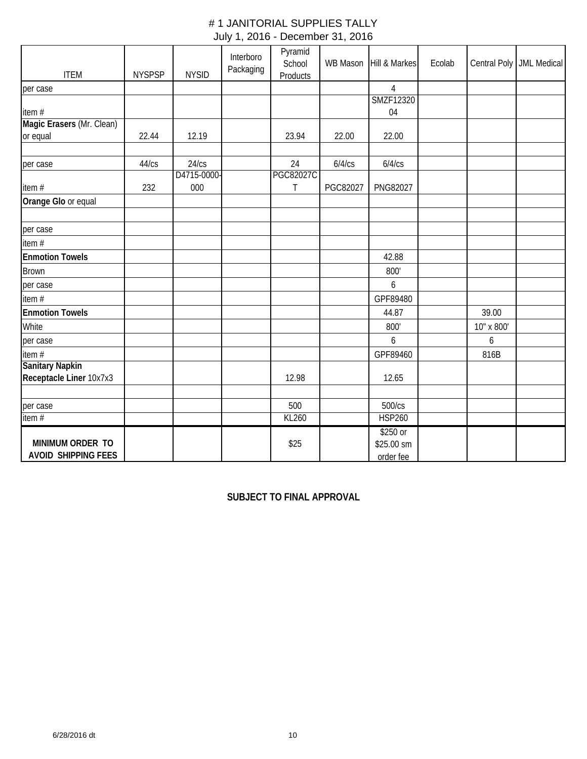| <b>ITEM</b>                | <b>NYSPSP</b> | <b>NYSID</b> | Interboro<br>Packaging | Pyramid<br>School<br>Products | WB Mason | Hill & Markes    | Ecolab |            | Central Poly   JML Medical |
|----------------------------|---------------|--------------|------------------------|-------------------------------|----------|------------------|--------|------------|----------------------------|
| per case                   |               |              |                        |                               |          | 4                |        |            |                            |
|                            |               |              |                        |                               |          | <b>SMZF12320</b> |        |            |                            |
| item #                     |               |              |                        |                               |          | 04               |        |            |                            |
| Magic Erasers (Mr. Clean)  |               |              |                        |                               |          |                  |        |            |                            |
| or equal                   | 22.44         | 12.19        |                        | 23.94                         | 22.00    | 22.00            |        |            |                            |
|                            |               |              |                        |                               |          |                  |        |            |                            |
| per case                   | 44/cs         | 24/cs        |                        | 24                            | 6/4/cs   | 6/4/cs           |        |            |                            |
|                            |               | D4715-0000-  |                        | <b>PGC82027C</b>              |          |                  |        |            |                            |
| item#                      | 232           | 000          |                        | T                             | PGC82027 | PNG82027         |        |            |                            |
| Orange Glo or equal        |               |              |                        |                               |          |                  |        |            |                            |
|                            |               |              |                        |                               |          |                  |        |            |                            |
| per case                   |               |              |                        |                               |          |                  |        |            |                            |
| item #                     |               |              |                        |                               |          |                  |        |            |                            |
| <b>Enmotion Towels</b>     |               |              |                        |                               |          | 42.88            |        |            |                            |
| <b>Brown</b>               |               |              |                        |                               |          | 800'             |        |            |                            |
| per case                   |               |              |                        |                               |          | 6                |        |            |                            |
| item#                      |               |              |                        |                               |          | GPF89480         |        |            |                            |
| <b>Enmotion Towels</b>     |               |              |                        |                               |          | 44.87            |        | 39.00      |                            |
| White                      |               |              |                        |                               |          | 800'             |        | 10" x 800' |                            |
| per case                   |               |              |                        |                               |          | 6                |        | 6          |                            |
| item #                     |               |              |                        |                               |          | GPF89460         |        | 816B       |                            |
| <b>Sanitary Napkin</b>     |               |              |                        |                               |          |                  |        |            |                            |
| Receptacle Liner 10x7x3    |               |              |                        | 12.98                         |          | 12.65            |        |            |                            |
|                            |               |              |                        |                               |          |                  |        |            |                            |
| per case                   |               |              |                        | 500                           |          | 500/cs           |        |            |                            |
| $\frac{1}{\text{item}}$    |               |              |                        | <b>KL260</b>                  |          | <b>HSP260</b>    |        |            |                            |
|                            |               |              |                        |                               |          | \$250 or         |        |            |                            |
| MINIMUM ORDER TO           |               |              |                        | \$25                          |          | \$25.00 sm       |        |            |                            |
| <b>AVOID SHIPPING FEES</b> |               |              |                        |                               |          | order fee        |        |            |                            |

# **SUBJECT TO FINAL APPROVAL**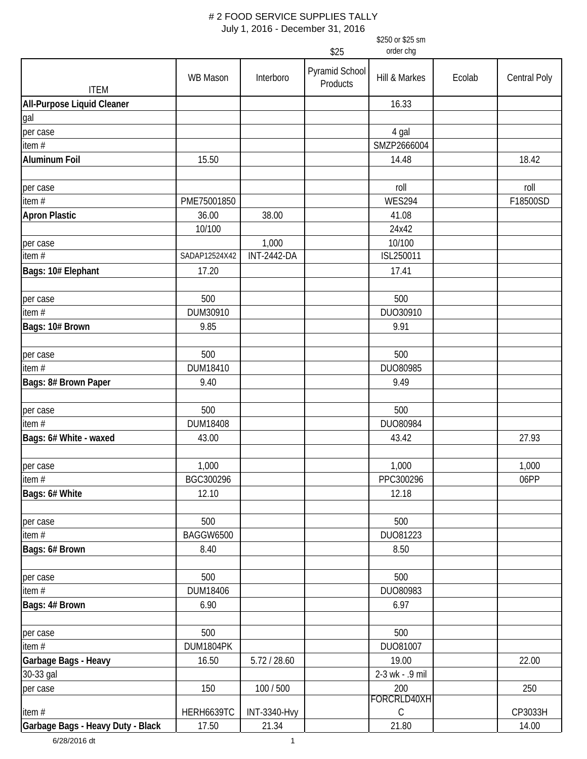|                                   |                 |                     | \$25                       | \$250 or \$25 sm<br>order chg |        |                     |
|-----------------------------------|-----------------|---------------------|----------------------------|-------------------------------|--------|---------------------|
|                                   |                 |                     |                            |                               |        |                     |
| <b>ITEM</b>                       | <b>WB Mason</b> | Interboro           | Pyramid School<br>Products | Hill & Markes                 | Ecolab | <b>Central Poly</b> |
| <b>All-Purpose Liquid Cleaner</b> |                 |                     |                            | 16.33                         |        |                     |
| gal                               |                 |                     |                            |                               |        |                     |
| per case                          |                 |                     |                            | 4 gal                         |        |                     |
| item $#$                          |                 |                     |                            | SMZP2666004                   |        |                     |
| <b>Aluminum Foil</b>              | 15.50           |                     |                            | 14.48                         |        | 18.42               |
| per case                          |                 |                     |                            | roll                          |        | roll                |
| item $#$                          | PME75001850     |                     |                            | <b>WES294</b>                 |        | F18500SD            |
| <b>Apron Plastic</b>              | 36.00           | 38.00               |                            | 41.08                         |        |                     |
|                                   | 10/100          |                     |                            | 24x42                         |        |                     |
| per case                          |                 | 1,000               |                            | 10/100                        |        |                     |
| item $#$                          | SADAP12524X42   | <b>INT-2442-DA</b>  |                            | ISL250011                     |        |                     |
| Bags: 10# Elephant                | 17.20           |                     |                            | 17.41                         |        |                     |
| per case                          | 500             |                     |                            | 500                           |        |                     |
| item $#$                          | DUM30910        |                     |                            | DUO30910                      |        |                     |
| Bags: 10# Brown                   | 9.85            |                     |                            | 9.91                          |        |                     |
| per case                          | 500             |                     |                            | 500                           |        |                     |
| item $#$                          | DUM18410        |                     |                            | DUO80985                      |        |                     |
| Bags: 8# Brown Paper              | 9.40            |                     |                            | 9.49                          |        |                     |
| per case                          | 500             |                     |                            | 500                           |        |                     |
| item #                            | DUM18408        |                     |                            | DUO80984                      |        |                     |
| Bags: 6# White - waxed            | 43.00           |                     |                            | 43.42                         |        | 27.93               |
| per case                          | 1,000           |                     |                            | 1,000                         |        | 1,000               |
| item#                             | BGC300296       |                     |                            | PPC300296                     |        | 06PP                |
| Bags: 6# White                    | 12.10           |                     |                            | 12.18                         |        |                     |
| per case                          | 500             |                     |                            | 500                           |        |                     |
| item $#$                          | BAGGW6500       |                     |                            | DU081223                      |        |                     |
| Bags: 6# Brown                    | 8.40            |                     |                            | 8.50                          |        |                     |
| per case                          | 500             |                     |                            | 500                           |        |                     |
| item #                            | DUM18406        |                     |                            | DUO80983                      |        |                     |
| Bags: 4# Brown                    | 6.90            |                     |                            | 6.97                          |        |                     |
| per case                          | 500             |                     |                            | 500                           |        |                     |
| item $#$                          | DUM1804PK       |                     |                            | DU081007                      |        |                     |
| Garbage Bags - Heavy              | 16.50           | 5.72 / 28.60        |                            | 19.00                         |        | 22.00               |
| 30-33 gal                         |                 |                     |                            | 2-3 wk - .9 mil               |        |                     |
| per case                          | 150             | 100 / 500           |                            | 200<br>FORCRLD40XH            |        | 250                 |
| item#                             | HERH6639TC      | <b>INT-3340-Hvy</b> |                            | $\mathsf C$                   |        | CP3033H             |
| Garbage Bags - Heavy Duty - Black | 17.50           | 21.34               |                            | 21.80                         |        | 14.00               |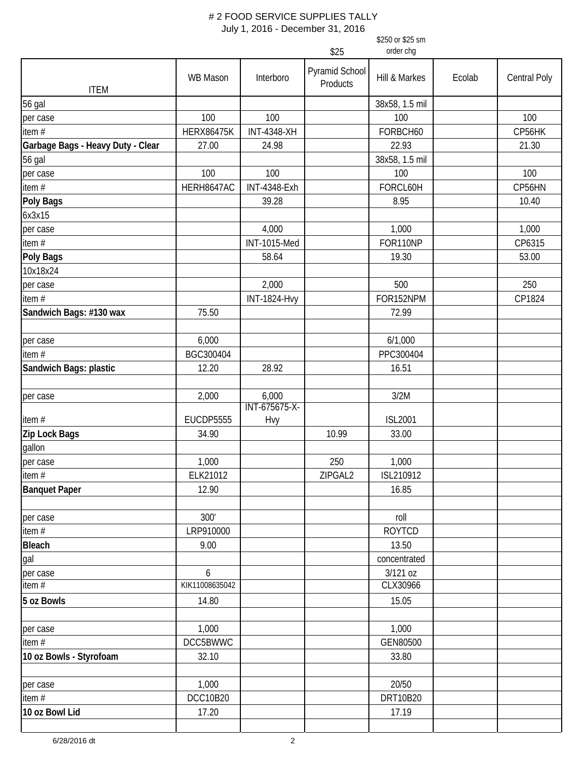|                                   |                   |                        |                            | \$250 or \$25 sm |        |                     |
|-----------------------------------|-------------------|------------------------|----------------------------|------------------|--------|---------------------|
|                                   |                   |                        | \$25                       | order chg        |        |                     |
| <b>ITEM</b>                       | <b>WB Mason</b>   | Interboro              | Pyramid School<br>Products | Hill & Markes    | Ecolab | <b>Central Poly</b> |
| <b>56 gal</b>                     |                   |                        |                            | 38x58, 1.5 mil   |        |                     |
| per case                          | 100               | 100                    |                            | 100              |        | 100                 |
| item $#$                          | <b>HERX86475K</b> | <b>INT-4348-XH</b>     |                            | FORBCH60         |        | CP56HK              |
| Garbage Bags - Heavy Duty - Clear | 27.00             | 24.98                  |                            | 22.93            |        | 21.30               |
| 56 gal                            |                   |                        |                            | 38x58, 1.5 mil   |        |                     |
| per case                          | 100               | 100                    |                            | 100              |        | 100                 |
| item #                            | HERH8647AC        | <b>INT-4348-Exh</b>    |                            | FORCL60H         |        | CP56HN              |
| <b>Poly Bags</b>                  |                   | 39.28                  |                            | 8.95             |        | 10.40               |
| 6x3x15                            |                   |                        |                            |                  |        |                     |
| per case                          |                   | 4,000                  |                            | 1,000            |        | 1,000               |
| item#                             |                   | <b>INT-1015-Med</b>    |                            | FOR110NP         |        | CP6315              |
| <b>Poly Bags</b>                  |                   | 58.64                  |                            | 19.30            |        | 53.00               |
| 10x18x24                          |                   |                        |                            |                  |        |                     |
| per case                          |                   | 2,000                  |                            | 500              |        | 250                 |
| item #                            |                   | <b>INT-1824-Hvy</b>    |                            | FOR152NPM        |        | CP1824              |
| Sandwich Bags: #130 wax           | 75.50             |                        |                            | 72.99            |        |                     |
|                                   |                   |                        |                            |                  |        |                     |
| per case                          | 6,000             |                        |                            | 6/1,000          |        |                     |
| item $#$                          | BGC300404         |                        |                            | PPC300404        |        |                     |
| Sandwich Bags: plastic            | 12.20             | 28.92                  |                            | 16.51            |        |                     |
|                                   |                   |                        |                            |                  |        |                     |
| per case                          | 2,000             | 6,000<br>INT-675675-X- |                            | 3/2M             |        |                     |
| item#                             | <b>EUCDP5555</b>  | Hvy                    |                            | <b>ISL2001</b>   |        |                     |
| Zip Lock Bags                     | 34.90             |                        | 10.99                      | 33.00            |        |                     |
| gallon                            |                   |                        |                            |                  |        |                     |
| per case                          | 1,000             |                        | 250                        | 1,000            |        |                     |
| item #                            | ELK21012          |                        | ZIPGAL2                    | ISL210912        |        |                     |
| <b>Banquet Paper</b>              | 12.90             |                        |                            | 16.85            |        |                     |
| per case                          | 300'              |                        |                            | roll             |        |                     |
| item $#$                          | LRP910000         |                        |                            | <b>ROYTCD</b>    |        |                     |
| <b>Bleach</b>                     | 9.00              |                        |                            | 13.50            |        |                     |
| gal                               |                   |                        |                            | concentrated     |        |                     |
| per case                          | 6                 |                        |                            | 3/121 oz         |        |                     |
| $\frac{1}{1}$ item #              | KIK11008635042    |                        |                            | CLX30966         |        |                     |
| 5 oz Bowls                        | 14.80             |                        |                            | 15.05            |        |                     |
|                                   |                   |                        |                            |                  |        |                     |
| per case                          | 1,000             |                        |                            | 1,000            |        |                     |
| item $#$                          | DCC5BWWC          |                        |                            | GEN80500         |        |                     |
| 10 oz Bowls - Styrofoam           | 32.10             |                        |                            | 33.80            |        |                     |
|                                   |                   |                        |                            |                  |        |                     |
| per case                          | 1,000             |                        |                            | 20/50            |        |                     |
| item #                            | DCC10B20          |                        |                            | DRT10B20         |        |                     |
| 10 oz Bowl Lid                    | 17.20             |                        |                            | 17.19            |        |                     |
|                                   |                   |                        |                            |                  |        |                     |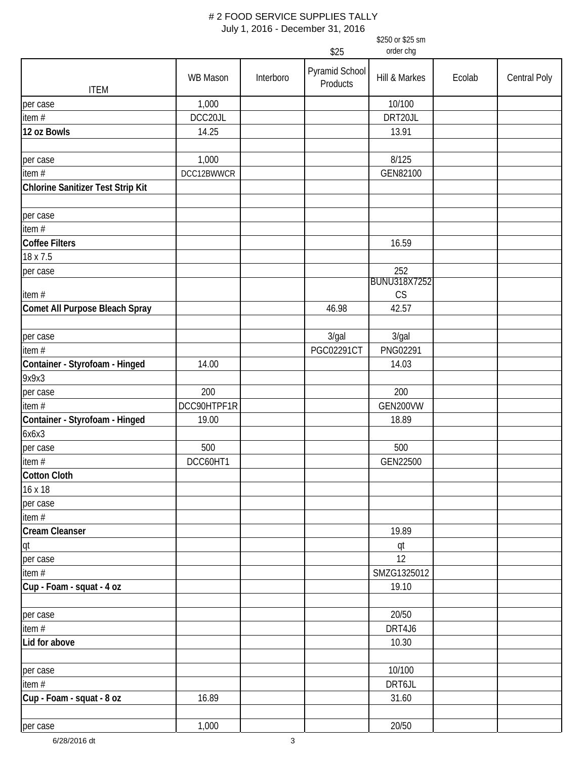|                                   | \$250 or \$25 sm<br>order chg<br>\$25 |           |                            |                     |        |              |  |
|-----------------------------------|---------------------------------------|-----------|----------------------------|---------------------|--------|--------------|--|
| <b>ITEM</b>                       | WB Mason                              | Interboro | Pyramid School<br>Products | Hill & Markes       | Ecolab | Central Poly |  |
| per case                          | 1,000                                 |           |                            | 10/100              |        |              |  |
| item#                             | DCC20JL                               |           |                            | DRT20JL             |        |              |  |
| 12 oz Bowls                       | 14.25                                 |           |                            | 13.91               |        |              |  |
|                                   |                                       |           |                            |                     |        |              |  |
| per case                          | 1,000                                 |           |                            | 8/125               |        |              |  |
| item $#$                          | DCC12BWWCR                            |           |                            | GEN82100            |        |              |  |
| Chlorine Sanitizer Test Strip Kit |                                       |           |                            |                     |        |              |  |
|                                   |                                       |           |                            |                     |        |              |  |
| per case                          |                                       |           |                            |                     |        |              |  |
| item#                             |                                       |           |                            |                     |        |              |  |
| <b>Coffee Filters</b>             |                                       |           |                            | 16.59               |        |              |  |
| 18 x 7.5                          |                                       |           |                            |                     |        |              |  |
| per case                          |                                       |           |                            | 252                 |        |              |  |
|                                   |                                       |           |                            | <b>BUNU318X7252</b> |        |              |  |
| item $#$                          |                                       |           |                            | CS                  |        |              |  |
| Comet All Purpose Bleach Spray    |                                       |           | 46.98                      | 42.57               |        |              |  |
|                                   |                                       |           |                            |                     |        |              |  |
| per case                          |                                       |           | 3/gal                      | 3/gal               |        |              |  |
| item #                            |                                       |           | PGC02291CT                 | PNG02291            |        |              |  |
| Container - Styrofoam - Hinged    | 14.00                                 |           |                            | 14.03               |        |              |  |
| 9x9x3                             |                                       |           |                            |                     |        |              |  |
| per case                          | 200                                   |           |                            | 200                 |        |              |  |
| item#                             | DCC90HTPF1R                           |           |                            | GEN200VW            |        |              |  |
| Container - Styrofoam - Hinged    | 19.00                                 |           |                            | 18.89               |        |              |  |
| 6x6x3                             |                                       |           |                            |                     |        |              |  |
| per case                          | 500                                   |           |                            | 500                 |        |              |  |
| item #                            | DCC60HT1                              |           |                            | GEN22500            |        |              |  |
| <b>Cotton Cloth</b>               |                                       |           |                            |                     |        |              |  |
| 16 x 18                           |                                       |           |                            |                     |        |              |  |
| per case                          |                                       |           |                            |                     |        |              |  |
| item #                            |                                       |           |                            |                     |        |              |  |
| <b>Cream Cleanser</b>             |                                       |           |                            | 19.89               |        |              |  |
| qt                                |                                       |           |                            | qt                  |        |              |  |
| per case                          |                                       |           |                            | 12                  |        |              |  |
| item $#$                          |                                       |           |                            | SMZG1325012         |        |              |  |
| Cup - Foam - squat - 4 oz         |                                       |           |                            | 19.10               |        |              |  |
|                                   |                                       |           |                            |                     |        |              |  |
| per case                          |                                       |           |                            | 20/50               |        |              |  |
| item #                            |                                       |           |                            | DRT4J6              |        |              |  |
| Lid for above                     |                                       |           |                            | 10.30               |        |              |  |
|                                   |                                       |           |                            |                     |        |              |  |
| per case                          |                                       |           |                            | 10/100              |        |              |  |
| item#                             |                                       |           |                            | DRT6JL              |        |              |  |
| Cup - Foam - squat - 8 oz         | 16.89                                 |           |                            | 31.60               |        |              |  |
|                                   |                                       |           |                            |                     |        |              |  |
| per case                          | 1,000                                 |           |                            | 20/50               |        |              |  |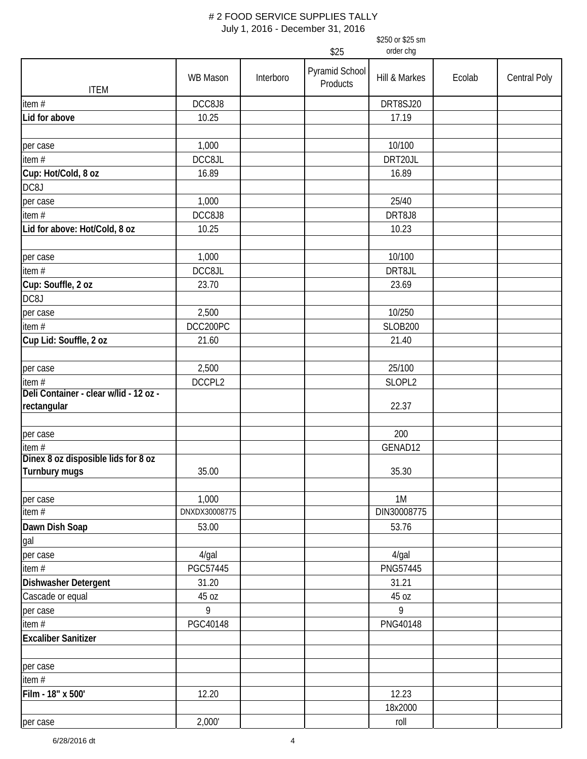|                                                 | \$250 or \$25 sm<br>order chg<br>\$25 |           |                            |                  |        |                     |
|-------------------------------------------------|---------------------------------------|-----------|----------------------------|------------------|--------|---------------------|
|                                                 |                                       |           |                            |                  |        |                     |
| <b>ITEM</b>                                     | WB Mason                              | Interboro | Pyramid School<br>Products | Hill & Markes    | Ecolab | <b>Central Poly</b> |
| item $#$                                        | DCC8J8                                |           |                            | DRT8SJ20         |        |                     |
| Lid for above                                   | 10.25                                 |           |                            | 17.19            |        |                     |
| per case                                        | 1,000                                 |           |                            | 10/100           |        |                     |
| item $#$                                        | DCC8JL                                |           |                            | DRT20JL          |        |                     |
| Cup: Hot/Cold, 8 oz                             | 16.89                                 |           |                            | 16.89            |        |                     |
| DC8J                                            |                                       |           |                            |                  |        |                     |
| per case                                        | 1,000                                 |           |                            | 25/40            |        |                     |
| item $#$                                        | DCC8J8                                |           |                            | DRT8J8           |        |                     |
| Lid for above: Hot/Cold, 8 oz                   | 10.25                                 |           |                            | 10.23            |        |                     |
| per case                                        | 1,000                                 |           |                            | 10/100           |        |                     |
| item #                                          | DCC8JL                                |           |                            | DRT8JL           |        |                     |
| Cup: Souffle, 2 oz<br>DC8J                      | 23.70                                 |           |                            | 23.69            |        |                     |
| per case                                        | 2,500                                 |           |                            | 10/250           |        |                     |
| item $#$                                        | DCC200PC                              |           |                            | <b>SLOB200</b>   |        |                     |
| Cup Lid: Souffle, 2 oz                          | 21.60                                 |           |                            | 21.40            |        |                     |
| per case                                        | 2,500                                 |           |                            | 25/100           |        |                     |
| item#<br>Deli Container - clear w/lid - 12 oz - | DCCPL2                                |           |                            | SLOPL2           |        |                     |
| rectangular                                     |                                       |           |                            | 22.37            |        |                     |
| per case                                        |                                       |           |                            | 200              |        |                     |
| item#                                           |                                       |           |                            | GENAD12          |        |                     |
| Dinex 8 oz disposible lids for 8 oz             |                                       |           |                            |                  |        |                     |
| Turnbury mugs                                   | 35.00                                 |           |                            | 35.30            |        |                     |
| per case                                        | 1,000                                 |           |                            | 1M               |        |                     |
| item $#$                                        | DNXDX30008775                         |           |                            | DIN30008775      |        |                     |
| Dawn Dish Soap<br>gal                           | 53.00                                 |           |                            | 53.76            |        |                     |
| per case                                        | $4$ /gal                              |           |                            | 4/gal            |        |                     |
| item $#$                                        | PGC57445                              |           |                            | PNG57445         |        |                     |
| Dishwasher Detergent                            | 31.20                                 |           |                            | 31.21            |        |                     |
| Cascade or equal                                | 45 oz                                 |           |                            | 45 oz            |        |                     |
| per case                                        | 9                                     |           |                            | 9                |        |                     |
| item $#$                                        | PGC40148                              |           |                            | PNG40148         |        |                     |
| <b>Excaliber Sanitizer</b>                      |                                       |           |                            |                  |        |                     |
| per case                                        |                                       |           |                            |                  |        |                     |
| item #                                          |                                       |           |                            |                  |        |                     |
| Film - 18" x 500'                               | 12.20                                 |           |                            | 12.23<br>18x2000 |        |                     |
| per case                                        | 2,000'                                |           |                            | roll             |        |                     |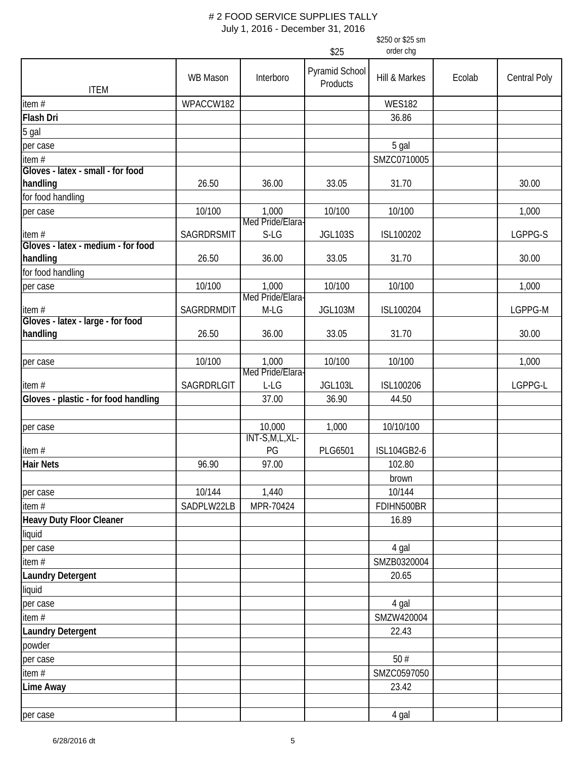|                                               |                 |                              |                            | \$250 or \$25 sm |        |              |
|-----------------------------------------------|-----------------|------------------------------|----------------------------|------------------|--------|--------------|
|                                               |                 |                              | \$25                       | order chg        |        |              |
| <b>ITEM</b>                                   | <b>WB Mason</b> | Interboro                    | Pyramid School<br>Products | Hill & Markes    | Ecolab | Central Poly |
| item#                                         | WPACCW182       |                              |                            | <b>WES182</b>    |        |              |
| Flash Dri                                     |                 |                              |                            | 36.86            |        |              |
| 5 gal                                         |                 |                              |                            |                  |        |              |
| per case                                      |                 |                              |                            | 5 gal            |        |              |
| item#                                         |                 |                              |                            | SMZC0710005      |        |              |
| Gloves - latex - small - for food             |                 |                              |                            |                  |        |              |
| handling                                      | 26.50           | 36.00                        | 33.05                      | 31.70            |        | 30.00        |
| for food handling                             |                 |                              |                            |                  |        |              |
| per case                                      | 10/100          | 1,000                        | 10/100                     | 10/100           |        | 1,000        |
|                                               |                 | Med Pride/Elara-             |                            |                  |        |              |
| item#                                         | SAGRDRSMIT      | S-LG                         | <b>JGL103S</b>             | ISL100202        |        | LGPPG-S      |
| Gloves - latex - medium - for food            |                 |                              |                            |                  |        |              |
| handling                                      | 26.50           | 36.00                        | 33.05                      | 31.70            |        | 30.00        |
| for food handling                             |                 |                              |                            |                  |        |              |
| per case                                      | 10/100          | 1,000<br>Med Pride/Elara-    | 10/100                     | 10/100           |        | 1,000        |
| item#                                         | SAGRDRMDIT      | M-LG                         | <b>JGL103M</b>             | ISL100204        |        | LGPPG-M      |
| Gloves - latex - large - for food<br>handling | 26.50           | 36.00                        | 33.05                      | 31.70            |        | 30.00        |
|                                               |                 |                              |                            |                  |        |              |
| per case                                      | 10/100          | 1,000<br>Med Pride/Elara-    | 10/100                     | 10/100           |        | 1,000        |
| item#                                         | SAGRDRLGIT      | L-LG                         | <b>JGL103L</b>             | ISL100206        |        | LGPPG-L      |
| Gloves - plastic - for food handling          |                 | 37.00                        | 36.90                      | 44.50            |        |              |
| per case                                      |                 | 10,000<br>$INT-S, M, L, XL-$ | 1,000                      | 10/10/100        |        |              |
| item#                                         |                 | PG                           | PLG6501                    | ISL104GB2-6      |        |              |
| <b>Hair Nets</b>                              | 96.90           | 97.00                        |                            | 102.80           |        |              |
|                                               |                 |                              |                            | brown            |        |              |
| per case                                      | 10/144          | 1,440                        |                            | 10/144           |        |              |
| item#                                         | SADPLW22LB      | MPR-70424                    |                            | FDIHN500BR       |        |              |
| Heavy Duty Floor Cleaner                      |                 |                              |                            | 16.89            |        |              |
| liquid                                        |                 |                              |                            |                  |        |              |
| per case                                      |                 |                              |                            | 4 gal            |        |              |
| item #                                        |                 |                              |                            | SMZB0320004      |        |              |
| <b>Laundry Detergent</b>                      |                 |                              |                            | 20.65            |        |              |
| liquid                                        |                 |                              |                            |                  |        |              |
| per case                                      |                 |                              |                            | 4 gal            |        |              |
| item #                                        |                 |                              |                            | SMZW420004       |        |              |
| <b>Laundry Detergent</b>                      |                 |                              |                            | 22.43            |        |              |
| powder                                        |                 |                              |                            |                  |        |              |
| per case                                      |                 |                              |                            | 50#              |        |              |
| item #                                        |                 |                              |                            | SMZC0597050      |        |              |
| Lime Away                                     |                 |                              |                            | 23.42            |        |              |
|                                               |                 |                              |                            |                  |        |              |
| per case                                      |                 |                              |                            | 4 gal            |        |              |
|                                               |                 |                              |                            |                  |        |              |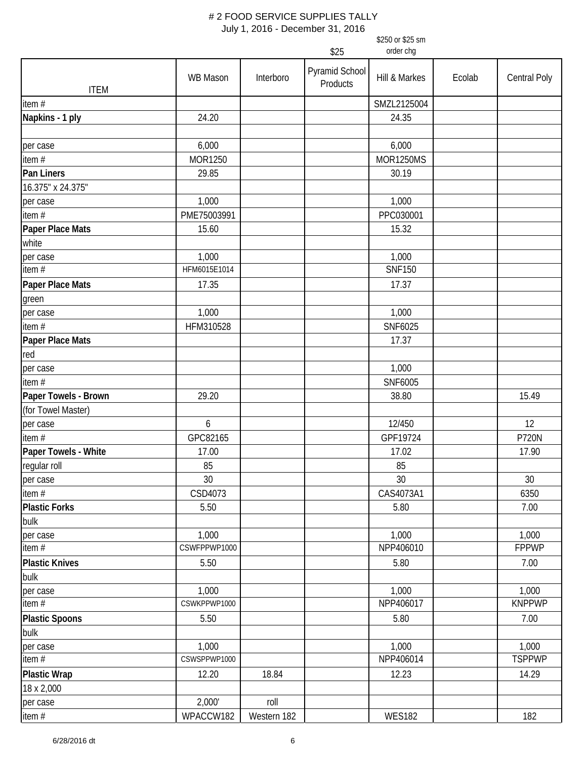|                               | \$250 or \$25 sm |                   |                            |                  |        |               |  |  |  |
|-------------------------------|------------------|-------------------|----------------------------|------------------|--------|---------------|--|--|--|
|                               |                  | order chg<br>\$25 |                            |                  |        |               |  |  |  |
| <b>ITEM</b>                   | <b>WB Mason</b>  | Interboro         | Pyramid School<br>Products | Hill & Markes    | Ecolab | Central Poly  |  |  |  |
| item#                         |                  |                   |                            | SMZL2125004      |        |               |  |  |  |
| Napkins - 1 ply               | 24.20            |                   |                            | 24.35            |        |               |  |  |  |
|                               |                  |                   |                            |                  |        |               |  |  |  |
| per case                      | 6,000            |                   |                            | 6,000            |        |               |  |  |  |
| item #                        | MOR1250          |                   |                            | <b>MOR1250MS</b> |        |               |  |  |  |
| Pan Liners                    | 29.85            |                   |                            | 30.19            |        |               |  |  |  |
| 16.375" x 24.375"             |                  |                   |                            |                  |        |               |  |  |  |
| per case                      | 1,000            |                   |                            | 1,000            |        |               |  |  |  |
| item#                         | PME75003991      |                   |                            | PPC030001        |        |               |  |  |  |
| Paper Place Mats              | 15.60            |                   |                            | 15.32            |        |               |  |  |  |
| white                         |                  |                   |                            |                  |        |               |  |  |  |
| per case                      | 1,000            |                   |                            | 1,000            |        |               |  |  |  |
| item $#$                      | HFM6015E1014     |                   |                            | <b>SNF150</b>    |        |               |  |  |  |
| Paper Place Mats              | 17.35            |                   |                            | 17.37            |        |               |  |  |  |
| green                         |                  |                   |                            |                  |        |               |  |  |  |
| per case                      | 1,000            |                   |                            | 1,000            |        |               |  |  |  |
| item $#$                      | HFM310528        |                   |                            | SNF6025          |        |               |  |  |  |
| Paper Place Mats              |                  |                   |                            | 17.37            |        |               |  |  |  |
| red                           |                  |                   |                            |                  |        |               |  |  |  |
| per case                      |                  |                   |                            | 1,000            |        |               |  |  |  |
| item#                         |                  |                   |                            | SNF6005          |        |               |  |  |  |
| Paper Towels - Brown          | 29.20            |                   |                            | 38.80            |        | 15.49         |  |  |  |
| (for Towel Master)            |                  |                   |                            |                  |        |               |  |  |  |
| per case                      | 6                |                   |                            | 12/450           |        | 12            |  |  |  |
| item#                         | GPC82165         |                   |                            | GPF19724         |        | <b>P720N</b>  |  |  |  |
| Paper Towels - White          | 17.00            |                   |                            | 17.02            |        | 17.90         |  |  |  |
| regular roll                  | 85               |                   |                            | 85               |        |               |  |  |  |
| per case                      | 30               |                   |                            | 30               |        | 30            |  |  |  |
| item #                        | CSD4073          |                   |                            | CAS4073A1        |        | 6350          |  |  |  |
| <b>Plastic Forks</b>          | 5.50             |                   |                            | 5.80             |        | 7.00          |  |  |  |
| bulk                          |                  |                   |                            |                  |        |               |  |  |  |
| per case                      | 1,000            |                   |                            | 1,000            |        | 1,000         |  |  |  |
| item#                         | CSWFPPWP1000     |                   |                            | NPP406010        |        | <b>FPPWP</b>  |  |  |  |
| <b>Plastic Knives</b>         | 5.50             |                   |                            | 5.80             |        | 7.00          |  |  |  |
| bulk                          |                  |                   |                            |                  |        |               |  |  |  |
| per case                      | 1,000            |                   |                            | 1,000            |        | 1,000         |  |  |  |
| $\frac{1}{1}$ item #          | CSWKPPWP1000     |                   |                            | NPP406017        |        | <b>KNPPWP</b> |  |  |  |
| <b>Plastic Spoons</b><br>bulk | 5.50             |                   |                            | 5.80             |        | 7.00          |  |  |  |
| per case                      | 1,000            |                   |                            | 1,000            |        | 1,000         |  |  |  |
| item#                         | CSWSPPWP1000     |                   |                            | NPP406014        |        | <b>TSPPWP</b> |  |  |  |
| <b>Plastic Wrap</b>           | 12.20            | 18.84             |                            | 12.23            |        | 14.29         |  |  |  |
| 18 x 2,000                    |                  |                   |                            |                  |        |               |  |  |  |
| per case                      | 2,000'           | roll              |                            |                  |        |               |  |  |  |
| item#                         | WPACCW182        | Western 182       |                            | <b>WES182</b>    |        | 182           |  |  |  |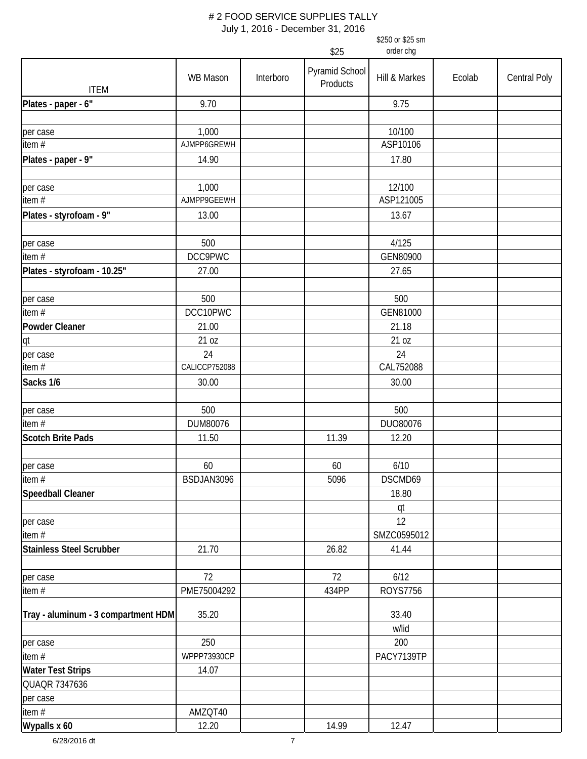|                                     |               |           | \$25                       | \$250 or \$25 sm<br>order chg |        |                     |
|-------------------------------------|---------------|-----------|----------------------------|-------------------------------|--------|---------------------|
|                                     |               |           |                            |                               |        |                     |
| <b>ITEM</b>                         | WB Mason      | Interboro | Pyramid School<br>Products | Hill & Markes                 | Ecolab | <b>Central Poly</b> |
| Plates - paper - 6"                 | 9.70          |           |                            | 9.75                          |        |                     |
| per case                            | 1,000         |           |                            | 10/100                        |        |                     |
| item $#$                            | AJMPP6GREWH   |           |                            | ASP10106                      |        |                     |
| Plates - paper - 9"                 | 14.90         |           |                            | 17.80                         |        |                     |
| per case                            | 1,000         |           |                            | 12/100                        |        |                     |
| item#                               | AJMPP9GEEWH   |           |                            | ASP121005                     |        |                     |
| Plates - styrofoam - 9"             | 13.00         |           |                            | 13.67                         |        |                     |
| per case                            | 500           |           |                            | 4/125                         |        |                     |
| item #                              | DCC9PWC       |           |                            | GEN80900                      |        |                     |
| Plates - styrofoam - 10.25"         | 27.00         |           |                            | 27.65                         |        |                     |
| per case                            | 500           |           |                            | 500                           |        |                     |
| item $#$                            | DCC10PWC      |           |                            | GEN81000                      |        |                     |
| <b>Powder Cleaner</b>               | 21.00         |           |                            | 21.18                         |        |                     |
| qt                                  | 21 oz         |           |                            | 21 oz                         |        |                     |
| per case                            | 24            |           |                            | 24                            |        |                     |
| item#                               | CALICCP752088 |           |                            | CAL752088                     |        |                     |
| Sacks 1/6                           | 30.00         |           |                            | 30.00                         |        |                     |
|                                     | 500           |           |                            | 500                           |        |                     |
| per case<br>item $#$                | DUM80076      |           |                            | DUO80076                      |        |                     |
| <b>Scotch Brite Pads</b>            | 11.50         |           | 11.39                      | 12.20                         |        |                     |
|                                     |               |           |                            |                               |        |                     |
| per case                            | 60            |           | 60                         | 6/10                          |        |                     |
| item #                              | BSDJAN3096    |           | 5096                       | DSCMD69                       |        |                     |
| Speedball Cleaner                   |               |           |                            | 18.80                         |        |                     |
|                                     |               |           |                            | qt                            |        |                     |
| per case                            |               |           |                            | 12                            |        |                     |
| item #                              |               |           |                            | SMZC0595012                   |        |                     |
| Stainless Steel Scrubber            | 21.70         |           | 26.82                      | 41.44                         |        |                     |
| per case                            | 72            |           | 72                         | 6/12                          |        |                     |
| item #                              | PME75004292   |           | 434PP                      | ROYS7756                      |        |                     |
| Tray - aluminum - 3 compartment HDM | 35.20         |           |                            | 33.40<br>w/lid                |        |                     |
| per case                            | 250           |           |                            | 200                           |        |                     |
| item#                               | WPPP73930CP   |           |                            | PACY7139TP                    |        |                     |
| <b>Water Test Strips</b>            | 14.07         |           |                            |                               |        |                     |
| QUAQR 7347636                       |               |           |                            |                               |        |                     |
| per case                            |               |           |                            |                               |        |                     |
| item #                              | AMZQT40       |           |                            |                               |        |                     |
| Wypalls x 60                        | 12.20         |           | 14.99                      | 12.47                         |        |                     |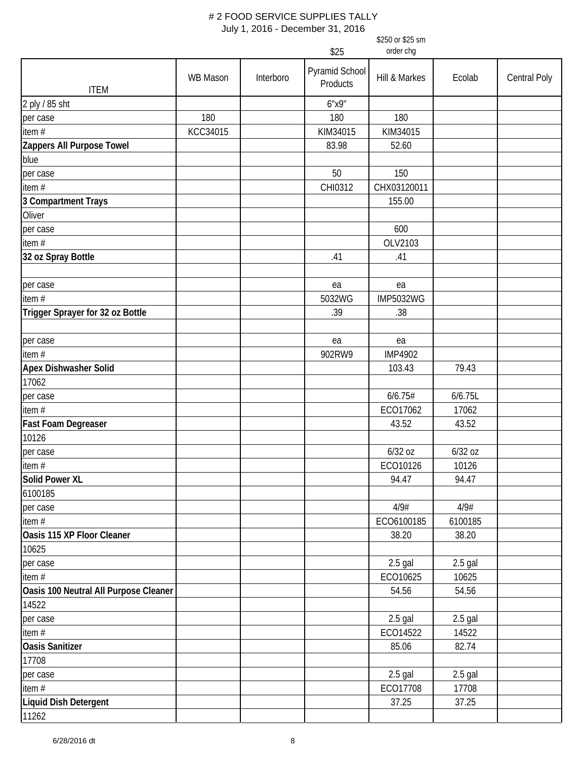| order chg<br>\$25<br>Pyramid School<br>WB Mason<br><b>Central Poly</b><br>Interboro<br>Hill & Markes<br>Ecolab<br>Products<br><b>ITEM</b><br>2 ply / 85 sht<br>6"x9"<br>180<br>180<br>180<br>per case<br>KCC34015<br>item #<br>KIM34015<br>KIM34015<br>Zappers All Purpose Towel<br>83.98<br>52.60<br>blue<br>50<br>150<br>per case<br>item #<br>CHX03120011<br>CHI0312<br>3 Compartment Trays<br>155.00<br>Oliver<br>600<br>per case<br>item #<br>OLV2103<br>32 oz Spray Bottle<br>.41<br>.41<br>per case<br>ea<br>ea<br>item #<br>5032WG<br><b>IMP5032WG</b><br>Trigger Sprayer for 32 oz Bottle<br>.39<br>.38<br>ea<br>per case<br>ea<br>item #<br>902RW9<br><b>IMP4902</b><br><b>Apex Dishwasher Solid</b><br>103.43<br>79.43<br>17062<br>6/6.75#<br>6/6.75L<br>per case<br>item#<br>ECO17062<br>17062<br>Fast Foam Degreaser<br>43.52<br>43.52<br>10126<br>6/32 oz<br>6/32 oz<br>per case<br>item $#$<br>ECO10126<br>10126<br><b>Solid Power XL</b><br>94.47<br>94.47<br>6100185<br>4/9#<br>4/9#<br>per case<br>ECO6100185<br>item $#$<br>6100185<br>Oasis 115 XP Floor Cleaner<br>38.20<br>38.20<br>10625<br>$2.5$ gal<br>$2.5$ gal<br>per case<br>ECO10625<br>item#<br>10625<br>Oasis 100 Neutral All Purpose Cleaner<br>54.56<br>54.56<br>14522<br>$2.5$ gal<br>$2.5$ gal<br>per case<br>item $#$<br>ECO14522<br>14522<br><b>Oasis Sanitizer</b><br>85.06<br>82.74<br>17708<br>$2.5$ gal<br>$2.5$ gal<br>per case<br>item $#$<br>ECO17708<br>17708<br>Liquid Dish Detergent<br>37.25<br>37.25 |       |  | \$250 or \$25 sm |  |
|-------------------------------------------------------------------------------------------------------------------------------------------------------------------------------------------------------------------------------------------------------------------------------------------------------------------------------------------------------------------------------------------------------------------------------------------------------------------------------------------------------------------------------------------------------------------------------------------------------------------------------------------------------------------------------------------------------------------------------------------------------------------------------------------------------------------------------------------------------------------------------------------------------------------------------------------------------------------------------------------------------------------------------------------------------------------------------------------------------------------------------------------------------------------------------------------------------------------------------------------------------------------------------------------------------------------------------------------------------------------------------------------------------------------------------------------------------------------------------------------------------|-------|--|------------------|--|
|                                                                                                                                                                                                                                                                                                                                                                                                                                                                                                                                                                                                                                                                                                                                                                                                                                                                                                                                                                                                                                                                                                                                                                                                                                                                                                                                                                                                                                                                                                       |       |  |                  |  |
|                                                                                                                                                                                                                                                                                                                                                                                                                                                                                                                                                                                                                                                                                                                                                                                                                                                                                                                                                                                                                                                                                                                                                                                                                                                                                                                                                                                                                                                                                                       |       |  |                  |  |
|                                                                                                                                                                                                                                                                                                                                                                                                                                                                                                                                                                                                                                                                                                                                                                                                                                                                                                                                                                                                                                                                                                                                                                                                                                                                                                                                                                                                                                                                                                       |       |  |                  |  |
|                                                                                                                                                                                                                                                                                                                                                                                                                                                                                                                                                                                                                                                                                                                                                                                                                                                                                                                                                                                                                                                                                                                                                                                                                                                                                                                                                                                                                                                                                                       |       |  |                  |  |
|                                                                                                                                                                                                                                                                                                                                                                                                                                                                                                                                                                                                                                                                                                                                                                                                                                                                                                                                                                                                                                                                                                                                                                                                                                                                                                                                                                                                                                                                                                       |       |  |                  |  |
|                                                                                                                                                                                                                                                                                                                                                                                                                                                                                                                                                                                                                                                                                                                                                                                                                                                                                                                                                                                                                                                                                                                                                                                                                                                                                                                                                                                                                                                                                                       |       |  |                  |  |
|                                                                                                                                                                                                                                                                                                                                                                                                                                                                                                                                                                                                                                                                                                                                                                                                                                                                                                                                                                                                                                                                                                                                                                                                                                                                                                                                                                                                                                                                                                       |       |  |                  |  |
|                                                                                                                                                                                                                                                                                                                                                                                                                                                                                                                                                                                                                                                                                                                                                                                                                                                                                                                                                                                                                                                                                                                                                                                                                                                                                                                                                                                                                                                                                                       |       |  |                  |  |
|                                                                                                                                                                                                                                                                                                                                                                                                                                                                                                                                                                                                                                                                                                                                                                                                                                                                                                                                                                                                                                                                                                                                                                                                                                                                                                                                                                                                                                                                                                       |       |  |                  |  |
|                                                                                                                                                                                                                                                                                                                                                                                                                                                                                                                                                                                                                                                                                                                                                                                                                                                                                                                                                                                                                                                                                                                                                                                                                                                                                                                                                                                                                                                                                                       |       |  |                  |  |
|                                                                                                                                                                                                                                                                                                                                                                                                                                                                                                                                                                                                                                                                                                                                                                                                                                                                                                                                                                                                                                                                                                                                                                                                                                                                                                                                                                                                                                                                                                       |       |  |                  |  |
|                                                                                                                                                                                                                                                                                                                                                                                                                                                                                                                                                                                                                                                                                                                                                                                                                                                                                                                                                                                                                                                                                                                                                                                                                                                                                                                                                                                                                                                                                                       |       |  |                  |  |
|                                                                                                                                                                                                                                                                                                                                                                                                                                                                                                                                                                                                                                                                                                                                                                                                                                                                                                                                                                                                                                                                                                                                                                                                                                                                                                                                                                                                                                                                                                       |       |  |                  |  |
|                                                                                                                                                                                                                                                                                                                                                                                                                                                                                                                                                                                                                                                                                                                                                                                                                                                                                                                                                                                                                                                                                                                                                                                                                                                                                                                                                                                                                                                                                                       |       |  |                  |  |
|                                                                                                                                                                                                                                                                                                                                                                                                                                                                                                                                                                                                                                                                                                                                                                                                                                                                                                                                                                                                                                                                                                                                                                                                                                                                                                                                                                                                                                                                                                       |       |  |                  |  |
|                                                                                                                                                                                                                                                                                                                                                                                                                                                                                                                                                                                                                                                                                                                                                                                                                                                                                                                                                                                                                                                                                                                                                                                                                                                                                                                                                                                                                                                                                                       |       |  |                  |  |
|                                                                                                                                                                                                                                                                                                                                                                                                                                                                                                                                                                                                                                                                                                                                                                                                                                                                                                                                                                                                                                                                                                                                                                                                                                                                                                                                                                                                                                                                                                       |       |  |                  |  |
|                                                                                                                                                                                                                                                                                                                                                                                                                                                                                                                                                                                                                                                                                                                                                                                                                                                                                                                                                                                                                                                                                                                                                                                                                                                                                                                                                                                                                                                                                                       |       |  |                  |  |
|                                                                                                                                                                                                                                                                                                                                                                                                                                                                                                                                                                                                                                                                                                                                                                                                                                                                                                                                                                                                                                                                                                                                                                                                                                                                                                                                                                                                                                                                                                       |       |  |                  |  |
|                                                                                                                                                                                                                                                                                                                                                                                                                                                                                                                                                                                                                                                                                                                                                                                                                                                                                                                                                                                                                                                                                                                                                                                                                                                                                                                                                                                                                                                                                                       |       |  |                  |  |
|                                                                                                                                                                                                                                                                                                                                                                                                                                                                                                                                                                                                                                                                                                                                                                                                                                                                                                                                                                                                                                                                                                                                                                                                                                                                                                                                                                                                                                                                                                       |       |  |                  |  |
|                                                                                                                                                                                                                                                                                                                                                                                                                                                                                                                                                                                                                                                                                                                                                                                                                                                                                                                                                                                                                                                                                                                                                                                                                                                                                                                                                                                                                                                                                                       |       |  |                  |  |
|                                                                                                                                                                                                                                                                                                                                                                                                                                                                                                                                                                                                                                                                                                                                                                                                                                                                                                                                                                                                                                                                                                                                                                                                                                                                                                                                                                                                                                                                                                       |       |  |                  |  |
|                                                                                                                                                                                                                                                                                                                                                                                                                                                                                                                                                                                                                                                                                                                                                                                                                                                                                                                                                                                                                                                                                                                                                                                                                                                                                                                                                                                                                                                                                                       |       |  |                  |  |
|                                                                                                                                                                                                                                                                                                                                                                                                                                                                                                                                                                                                                                                                                                                                                                                                                                                                                                                                                                                                                                                                                                                                                                                                                                                                                                                                                                                                                                                                                                       |       |  |                  |  |
|                                                                                                                                                                                                                                                                                                                                                                                                                                                                                                                                                                                                                                                                                                                                                                                                                                                                                                                                                                                                                                                                                                                                                                                                                                                                                                                                                                                                                                                                                                       |       |  |                  |  |
|                                                                                                                                                                                                                                                                                                                                                                                                                                                                                                                                                                                                                                                                                                                                                                                                                                                                                                                                                                                                                                                                                                                                                                                                                                                                                                                                                                                                                                                                                                       |       |  |                  |  |
|                                                                                                                                                                                                                                                                                                                                                                                                                                                                                                                                                                                                                                                                                                                                                                                                                                                                                                                                                                                                                                                                                                                                                                                                                                                                                                                                                                                                                                                                                                       |       |  |                  |  |
|                                                                                                                                                                                                                                                                                                                                                                                                                                                                                                                                                                                                                                                                                                                                                                                                                                                                                                                                                                                                                                                                                                                                                                                                                                                                                                                                                                                                                                                                                                       |       |  |                  |  |
|                                                                                                                                                                                                                                                                                                                                                                                                                                                                                                                                                                                                                                                                                                                                                                                                                                                                                                                                                                                                                                                                                                                                                                                                                                                                                                                                                                                                                                                                                                       |       |  |                  |  |
|                                                                                                                                                                                                                                                                                                                                                                                                                                                                                                                                                                                                                                                                                                                                                                                                                                                                                                                                                                                                                                                                                                                                                                                                                                                                                                                                                                                                                                                                                                       |       |  |                  |  |
|                                                                                                                                                                                                                                                                                                                                                                                                                                                                                                                                                                                                                                                                                                                                                                                                                                                                                                                                                                                                                                                                                                                                                                                                                                                                                                                                                                                                                                                                                                       |       |  |                  |  |
|                                                                                                                                                                                                                                                                                                                                                                                                                                                                                                                                                                                                                                                                                                                                                                                                                                                                                                                                                                                                                                                                                                                                                                                                                                                                                                                                                                                                                                                                                                       |       |  |                  |  |
|                                                                                                                                                                                                                                                                                                                                                                                                                                                                                                                                                                                                                                                                                                                                                                                                                                                                                                                                                                                                                                                                                                                                                                                                                                                                                                                                                                                                                                                                                                       |       |  |                  |  |
|                                                                                                                                                                                                                                                                                                                                                                                                                                                                                                                                                                                                                                                                                                                                                                                                                                                                                                                                                                                                                                                                                                                                                                                                                                                                                                                                                                                                                                                                                                       |       |  |                  |  |
|                                                                                                                                                                                                                                                                                                                                                                                                                                                                                                                                                                                                                                                                                                                                                                                                                                                                                                                                                                                                                                                                                                                                                                                                                                                                                                                                                                                                                                                                                                       |       |  |                  |  |
|                                                                                                                                                                                                                                                                                                                                                                                                                                                                                                                                                                                                                                                                                                                                                                                                                                                                                                                                                                                                                                                                                                                                                                                                                                                                                                                                                                                                                                                                                                       |       |  |                  |  |
|                                                                                                                                                                                                                                                                                                                                                                                                                                                                                                                                                                                                                                                                                                                                                                                                                                                                                                                                                                                                                                                                                                                                                                                                                                                                                                                                                                                                                                                                                                       |       |  |                  |  |
|                                                                                                                                                                                                                                                                                                                                                                                                                                                                                                                                                                                                                                                                                                                                                                                                                                                                                                                                                                                                                                                                                                                                                                                                                                                                                                                                                                                                                                                                                                       |       |  |                  |  |
|                                                                                                                                                                                                                                                                                                                                                                                                                                                                                                                                                                                                                                                                                                                                                                                                                                                                                                                                                                                                                                                                                                                                                                                                                                                                                                                                                                                                                                                                                                       |       |  |                  |  |
|                                                                                                                                                                                                                                                                                                                                                                                                                                                                                                                                                                                                                                                                                                                                                                                                                                                                                                                                                                                                                                                                                                                                                                                                                                                                                                                                                                                                                                                                                                       |       |  |                  |  |
|                                                                                                                                                                                                                                                                                                                                                                                                                                                                                                                                                                                                                                                                                                                                                                                                                                                                                                                                                                                                                                                                                                                                                                                                                                                                                                                                                                                                                                                                                                       |       |  |                  |  |
|                                                                                                                                                                                                                                                                                                                                                                                                                                                                                                                                                                                                                                                                                                                                                                                                                                                                                                                                                                                                                                                                                                                                                                                                                                                                                                                                                                                                                                                                                                       |       |  |                  |  |
|                                                                                                                                                                                                                                                                                                                                                                                                                                                                                                                                                                                                                                                                                                                                                                                                                                                                                                                                                                                                                                                                                                                                                                                                                                                                                                                                                                                                                                                                                                       |       |  |                  |  |
|                                                                                                                                                                                                                                                                                                                                                                                                                                                                                                                                                                                                                                                                                                                                                                                                                                                                                                                                                                                                                                                                                                                                                                                                                                                                                                                                                                                                                                                                                                       |       |  |                  |  |
|                                                                                                                                                                                                                                                                                                                                                                                                                                                                                                                                                                                                                                                                                                                                                                                                                                                                                                                                                                                                                                                                                                                                                                                                                                                                                                                                                                                                                                                                                                       |       |  |                  |  |
|                                                                                                                                                                                                                                                                                                                                                                                                                                                                                                                                                                                                                                                                                                                                                                                                                                                                                                                                                                                                                                                                                                                                                                                                                                                                                                                                                                                                                                                                                                       | 11262 |  |                  |  |